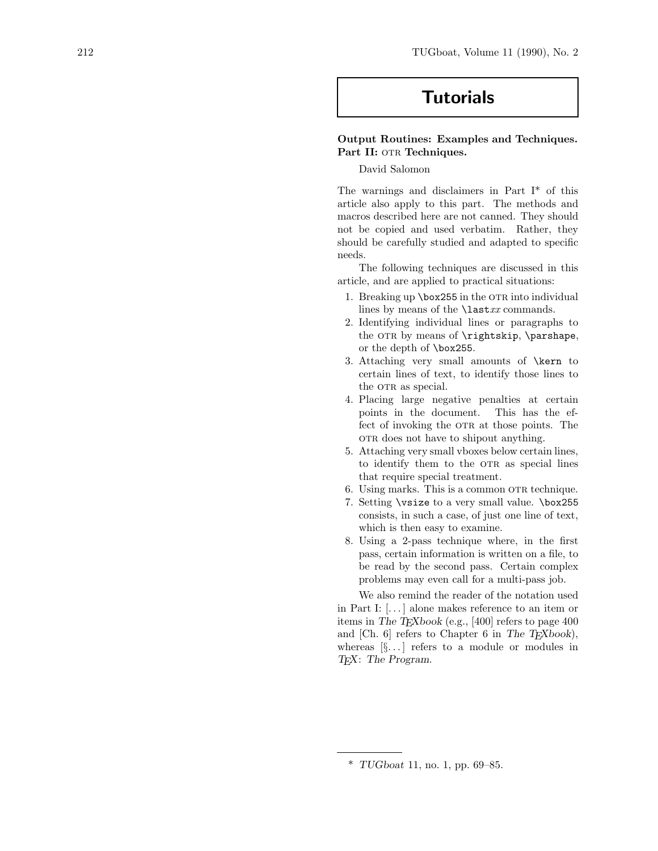# **Tutorials**

## **Output Routines: Examples and Techniques.** Part II: OTR Techniques.

## David Salomon

The warnings and disclaimers in Part  $I^*$  of this article also apply to this part. The methods and macros described here are not canned. They should not be copied and used verbatim. Rather, they should be carefully studied and adapted to specific needs.

The following techniques are discussed in this article, and are applied to practical situations:

- 1. Breaking up  $\boxtimes 255$  in the OTR into individual lines by means of the  $\text{last}xx$  commands.
- 2. Identifying individual lines or paragraphs to the OTR by means of  $\rightarrow$  by the parshape, or the depth of \box255.
- 3. Attaching very small amounts of \kern to certain lines of text, to identify those lines to the OTR as special.
- 4. Placing large negative penalties at certain points in the document. This has the effect of invoking the OTR at those points. The ork does not have to shipout anything.
- 5. Attaching very small vboxes below certain lines, to identify them to the OTR as special lines that require special treatment.
- 6. Using marks. This is a common OTR technique.
- 7. Setting \vsize to a very small value. \box255 consists, in such a case, of just one line of text, which is then easy to examine.
- 8. Using a 2-pass technique where, in the first pass, certain information is written on a file, to be read by the second pass. Certain complex problemsmay even call for a multi-passjob.

We also remind the reader of the notation used in Part I:  $[...]$  alone makes reference to an item or itemsin *The TEXbook* (e.g., [400] refersto page 400 and [Ch. 6] refers to Chapter 6 in *The TEXbook*), whereas  $[\S$ ...] refers to a module or modules in *TEX*: *The Program*.

<sup>\*</sup> *TUGboat* 11, no. 1, pp. 69–85.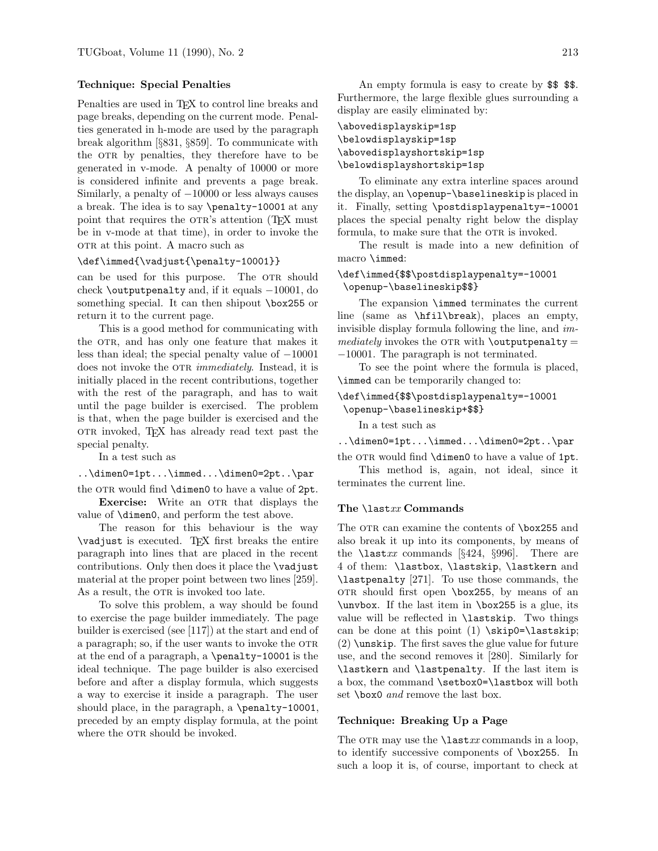#### **Technique: Special Penalties**

Penalties are used in T<sub>EX</sub> to control line breaks and page breaks, depending on the current mode. Penalties generated in h-mode are used by the paragraph break algorithm [§831, §859]. To communicate with the OTR by penalties, they therefore have to be generated in v-mode. A penalty of 10000 or more is considered infinite and prevents a page break. Similarly, a penalty of −10000 or less always causes a break. The idea is to say \penalty-10001 at any point that requires the OTR's attention (T<sub>EX</sub> must be in v-mode at that time), in order to invoke the otr at this point. A macro such as

#### \def\immed{\vadjust{\penalty-10001}}

can be used for this purpose. The OTR should check \outputpenalty and, if it equals −10001, do something special. It can then shipout \box255 or return it to the current page.

This is a good method for communicating with the OTR, and has only one feature that makes it less than ideal; the special penalty value of −10001 does not invoke the OTR *immediately*. Instead, it is initially placed in the recent contributions, together with the rest of the paragraph, and has to wait until the page builder is exercised. The problem is that, when the page builder is exercised and the otr invoked, TEX has already read text past the special penalty.

In a test such as

..\dimen0=1pt...\immed...\dimen0=2pt..\par the OTR would find  $\dim$ 0 to have a value of 2pt.

**Exercise:** Write an OTR that displays the value of \dimen0, and perform the test above.

The reason for this behaviour is the way \vadjust isexecuted. TEX first breaks the entire paragraph into lines that are placed in the recent contributions. Only then does it place the \vadjust material at the proper point between two lines[259]. As a result, the OTR is invoked too late.

To solve this problem, a way should be found to exercise the page builder immediately. The page builder is exercised (see [117]) at the start and end of a paragraph; so, if the user wants to invoke the OTR at the end of a paragraph, a \penalty-10001 isthe ideal technique. The page builder is also exercised before and after a display formula, which suggests a way to exercise it inside a paragraph. The user should place, in the paragraph, a \penalty-10001, preceded by an empty display formula, at the point where the OTR should be invoked.

An empty formula is easy to create by \$\$ \$\$. Furthermore, the large flexible glues surrounding a display are easily eliminated by:

# \abovedisplayskip=1sp \belowdisplayskip=1sp \abovedisplayshortskip=1sp \belowdisplayshortskip=1sp

To eliminate any extra interline spaces around the display, an \openup-\baselineskip is placed in it. Finally, setting \postdisplaypenalty=-10001 places the special penalty right below the display formula, to make sure that the OTR is invoked.

The result is made into a new definition of macro \immed:

## \def\immed{\$\$\postdisplaypenalty=-10001 \openup-\baselineskip\$\$}

The expansion **\immed** terminates the current line (same as  $\hbar i l\breve{h}$ , places an empty, invisible display formula following the line, and *im* $mediately$  invokes the OTR with \outputpenalty = −10001. The paragraph is not terminated.

To see the point where the formula is placed, \immed can be temporarily changed to:

```
\def\immed{$$\postdisplaypenalty=-10001
\openup-\baselineskip+$$}
```
In a test such as

..\dimen0=1pt...\immed...\dimen0=2pt..\par

the OTR would find  $\dim$ 0 to have a value of 1pt. This method is, again, not ideal, since it terminates the current line.

#### **The** \last*xx* **Commands**

The OTR can examine the contents of \box255 and also break it up into its components, by means of the  $\text{last}xx$  commands [§424, §996]. There are 4 of them: \lastbox, \lastskip, \lastkern and \lastpenalty [271]. To use those commands, the  $OTR$  should first open  $\boxtimes 255$ , by means of an  $\unvbox.$  If the last item in  $\boxtimes 255$  is a glue, its value will be reflected in \lastskip. Two things can be done at this point  $(1) \xrightarrow{kip0=\textlastskip}}$ (2) \unskip. The first saves the glue value for future use, and the second removes it [280]. Similarly for \lastkern and \lastpenalty. If the last item is a box, the command \setbox0=\lastbox will both set \box0 *and* remove the last box.

#### **Technique: Breaking Up a Page**

The OTR may use the  $\text{last}xx$  commands in a loop, to identify successive components of \box255. In such a loop it is, of course, important to check at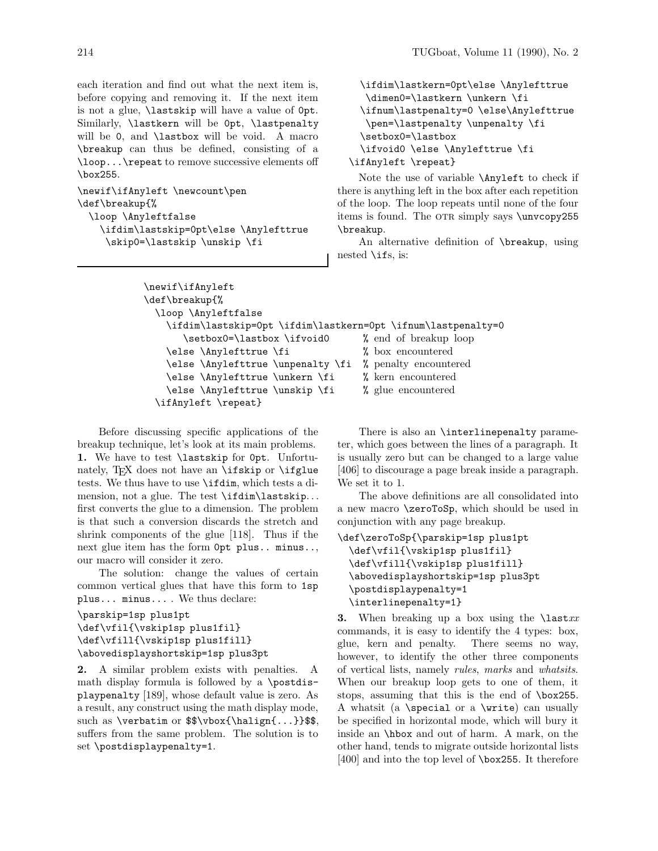each iteration and find out what the next item is, before copying and removing it. If the next item is not a glue, **\lastskip** will have a value of  $0pt$ . Similarly, \lastkern will be 0pt, \lastpenalty will be 0, and **\lastbox** will be void. A macro \breakup can thus be defined, consisting of a \loop...\repeat to remove successive elements off \box255.

```
\newif\ifAnyleft \newcount\pen
\def\breakup{%
  \loop \Anyleftfalse
    \ifdim\lastskip=0pt\else \Anylefttrue
     \skip0=\lastskip \unskip \fi
```

```
\ifdim\lastkern=0pt\else \Anylefttrue
   \dimen0=\lastkern \unkern \fi
  \ifnum\lastpenalty=0 \else\Anylefttrue
   \pen=\lastpenalty \unpenalty \fi
  \setbox0=\lastbox
  \ifvoid0 \else \Anylefttrue \fi
\ifAnyleft \repeat}
```
Note the use of variable \Anyleft to check if there is anything left in the box after each repetition of the loop. The loop repeatsuntil none of the four items is found. The OTR simply says \unvcopy255 \breakup.

An alternative definition of **\breakup**, using nested  $\iota$  ifs, is:

```
\newif\ifAnyleft
\def\breakup{%
  \loop \Anyleftfalse
    \ifdim\lastskip=0pt \ifdim\lastkern=0pt \ifnum\lastpenalty=0
       \setbox0=\lastbox \ifvoid0 % end of breakup loop
    \else \Anylefttrue \fi % box encountered
    \else \Anylefttrue \unpenalty \fi % penalty encountered
    \else \Anylefttrue \unkern \fi % kern encountered
    \else \Anylefttrue \unskip \fi % glue encountered
  \ifAnyleft \repeat}
```
Before discussing specific applications of the breakup technique, let's look at its main problems. **1.** We have to test \lastskip for 0pt. Unfortunately, TFX does not have an  $\i$ fskip or  $\if$ glue tests. We thus have to use \ifdim, which tests a dimension, not a glue. The test \ifdim\lastskip*...* first converts the glue to a dimension. The problem is that such a conversion discards the stretch and shrink components of the glue [118]. Thus if the next glue item hasthe form 0pt plus.. minus.., our macro will consider it zero.

The solution: change the values of certain common vertical glues that have this form to 1sp  $plus...$  minus... We thus declare:

```
\parskip=1sp plus1pt
\def\vfil{\vskip1sp plus1fil}
\def\vfill{\vskip1sp plus1fill}
\abovedisplayshortskip=1sp plus3pt
```
**2.** A similar problem exists with penalties. A math display formula is followed by a \postdisplaypenalty [189], whose default value is zero. As a result, any construct using the math display mode, such as \verbatim or \$\$\vbox{\halign{...}}\$\$, suffers from the same problem. The solution is to set \postdisplaypenalty=1.

There is also an \interlinepenalty parameter, which goes between the lines of a paragraph. It isusually zero but can be changed to a large value [406] to discourage a page break inside a paragraph. We set it to 1.

The above definitions are all consolidated into a new macro \zeroToSp, which should be used in conjunction with any page breakup.

```
\def\zeroToSp{\parskip=1sp plus1pt
  \def\vfil{\vskip1sp plus1fil}
 \def\vfill{\vskip1sp plus1fill}
 \abovedisplayshortskip=1sp plus3pt
  \postdisplaypenalty=1
  \interlinepenalty=1}
```
**3.** When breaking up a box using the \last*xx* commands, it is easy to identify the 4 types: box, glue, kern and penalty. There seems no way, however, to identify the other three components of vertical lists, namely *rules*, *marks* and *whatsits*. When our breakup loop gets to one of them, it stops, assuming that this is the end of \box255. A whatsit (a \special or a \write) can usually be specified in horizontal mode, which will bury it inside an \hbox and out of harm. A mark, on the other hand, tends to migrate outside horizontal lists  $[400]$  and into the top level of **\box255**. It therefore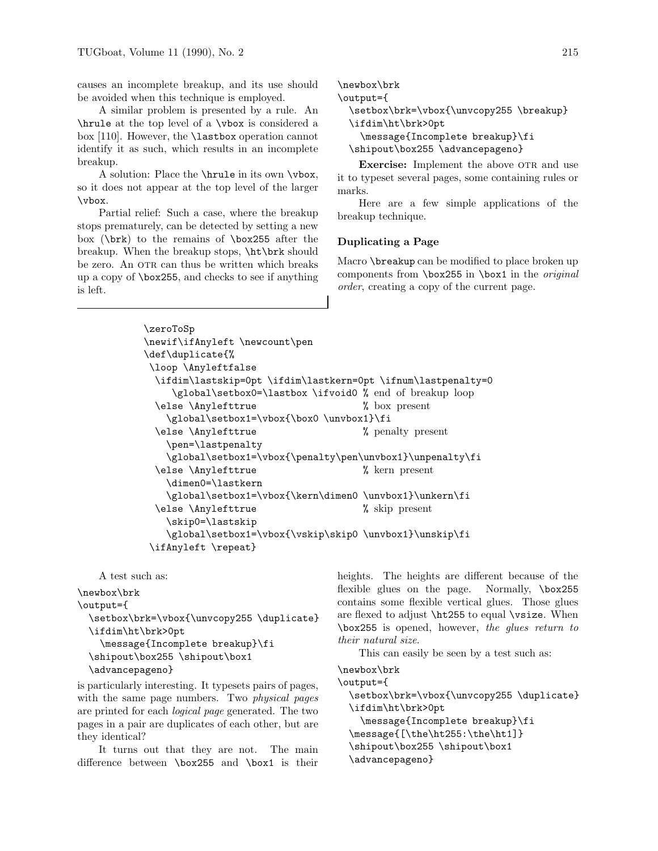causes an incomplete breakup, and its use should be avoided when this technique is employed.

A similar problem is presented by a rule. An \hrule at the top level of a \vbox isconsidered a box [110]. However, the \lastbox operation cannot identify it as such, which results in an incomplete breakup.

A solution: Place the **\hrule** in its own **\vbox**, so it does not appear at the top level of the larger \vbox.

Partial relief: Such a case, where the breakup stops prematurely, can be detected by setting a new box (\brk) to the remains of \box255 after the breakup. When the breakup stops, \ht\brk should be zero. An OTR can thus be written which breaks up a copy of  $\boxtimes$ 255, and checks to see if anything isleft.

```
\newbox\brk
\output={
 \setbox\brk=\vbox{\unvcopy255 \breakup}
  \ifdim\ht\brk>0pt
    \message{Incomplete breakup}\fi
 \shipout\box255 \advancepageno}
```
**Exercise:** Implement the above OTR and use it to typeset several pages, some containing rules or marks.

Here are a few simple applications of the breakup technique.

### **Duplicating a Page**

Macro \breakup can be modified to place broken up componentsfrom \box255 in \box1 in the *original order*, creating a copy of the current page.

```
\zeroToSp
\newif\ifAnyleft \newcount\pen
\def\duplicate{%
\loop \Anyleftfalse
 \ifdim\lastskip=0pt \ifdim\lastkern=0pt \ifnum\lastpenalty=0
    \global\setbox0=\lastbox \ifvoid0 % end of breakup loop
 \else \Anylefttrue % box present
   \global\setbox1=\vbox{\box0 \unvbox1}\fi
 \else \Anylefttrue % penalty present
   \pen=\lastpenalty
   \global\setbox1=\vbox{\penalty\pen\unvbox1}\unpenalty\fi
 \else \Anylefttrue % kern present
   \dimen0=\lastkern
   \global\setbox1=\vbox{\kern\dimen0 \unvbox1}\unkern\fi
 \else \Anylefttrue % skip present
   \skip0=\lastskip
   \global\setbox1=\vbox{\vskip\skip0 \unvbox1}\unskip\fi
\ifAnyleft \repeat}
```
A test such as:

\newbox\brk \output={ \setbox\brk=\vbox{\unvcopy255 \duplicate} \ifdim\ht\brk>0pt \message{Incomplete breakup}\fi \shipout\box255 \shipout\box1 \advancepageno}

is particularly interesting. It typesets pairs of pages, with the same page numbers. Two *physical pages* are printed for each *logical page* generated. The two pages in a pair are duplicates of each other, but are they identical?

It turns out that they are not. The main difference between  $\boxtimes 255$  and  $\boxtimes 1$  is their heights. The heights are different because of the flexible glues on the page. Normally, \box255 contains some flexible vertical glues. Those glues are flexed to adjust \ht255 to equal \vsize. When \box255 isopened, however, *the glues return to their natural size*.

This can easily be seen by a test such as:

#### \newbox\brk

```
\output={
 \setbox\brk=\vbox{\unvcopy255 \duplicate}
 \ifdim\ht\brk>0pt
    \message{Incomplete breakup}\fi
  \message{[\the\ht255:\the\ht1]}
  \shipout\box255 \shipout\box1
  \advancepageno}
```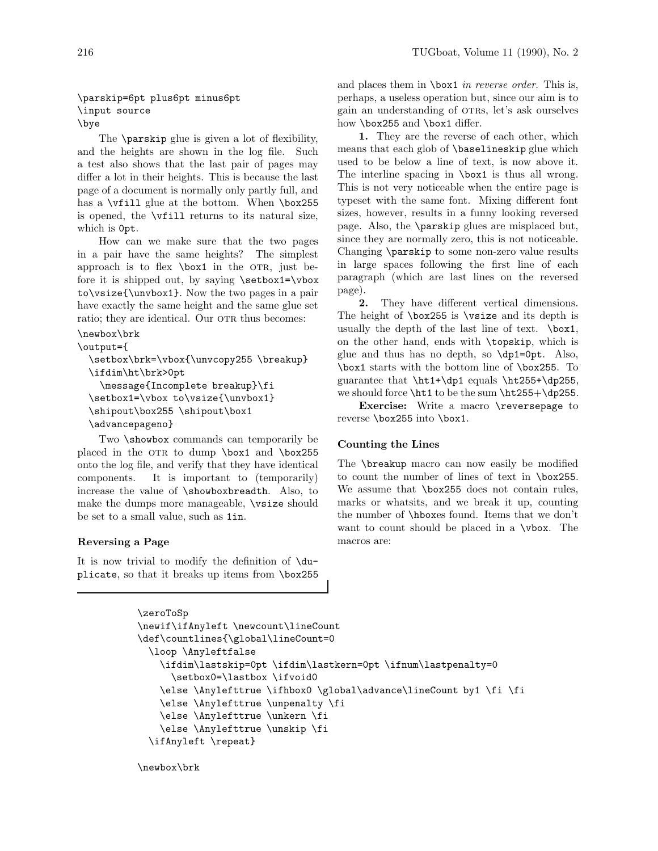## \parskip=6pt plus6pt minus6pt \input source \bye

The **\parskip** glue is given a lot of flexibility, and the heights are shown in the log file. Such a test also shows that the last pair of pages may differ a lot in their heights. This is because the last page of a document is normally only partly full, and has a  $\v{tfill}$  glue at the bottom. When  $\boxtimes 255$ is opened, the  $\tilde{\iota}$  vertill returns to its natural size, which is 0pt.

How can we make sure that the two pages in a pair have the same heights? The simplest approach is to flex  $\boxtimes 1$  in the OTR, just before it is shipped out, by saying \setbox1=\vbox to\vsize{\unvbox1}. Now the two pages in a pair have exactly the same height and the same glue set ratio; they are identical. Our OTR thus becomes:

```
\newbox\brk
```

```
\output={
  \setbox\brk=\vbox{\unvcopy255 \breakup}
  \ifdim\ht\brk>0pt
    \message{Incomplete breakup}\fi
  \setbox1=\vbox to\vsize{\unvbox1}
  \shipout\box255 \shipout\box1
  \advancepageno}
```
Two **\showbox** commands can temporarily be placed in the OTR to dump \box1 and \box255 onto the log file, and verify that they have identical components. It is important to (temporarily) increase the value of \showboxbreadth. Also, to make the dumps more manageable,  $\forall$ size should be set to a small value, such as 1in.

# **Reversing a Page**

It is now trivial to modify the definition of  $\du$ plicate, so that it breaks up items from \box255

and places them in **\box1** *in reverse order*. This is, perhaps, a useless operation but, since our aim is to gain an understanding of otrs, let's ask ourselves how \box255 and \box1 differ.

**1.** They are the reverse of each other, which means that each glob of \baselineskip glue which used to be below a line of text, is now above it. The interline spacing in  $\boxtimes 1$  is thus all wrong. This is not very noticeable when the entire page is typeset with the same font. Mixing different font sizes, however, results in a funny looking reversed page. Also, the **\parskip** glues are misplaced but, since they are normally zero, this is not noticeable. Changing \parskip to some non-zero value results in large spaces following the first line of each paragraph (which are last lines on the reversed page).

**2.** They have different vertical dimensions. The height of  $\boxtimes 255$  is  $\text{visize}$  and its depth is usually the depth of the last line of text. \box1, on the other hand, endswith \topskip, which is glue and thus has no depth, so  $\dot{\rho}$   $\dot{\rho}$ . Also, \box1 starts with the bottom line of \box255. To guarantee that  $\ht1+\d{p1}$  equals  $\ht255+\d{p255}$ , we should force \ht1 to be the sum \ht255+\dp255.

**Exercise:** Write a macro \reversepage to reverse \box255 into \box1.

# **Counting the Lines**

The \breakup macro can now easily be modified to count the number of lines of text in \box255. We assume that  $\boxtimes 255$  does not contain rules, marks or whatsits, and we break it up, counting the number of **\hboxes** found. Items that we don't want to count should be placed in a \vbox. The macros are:

```
\zeroToSp
\newif\ifAnyleft \newcount\lineCount
\def\countlines{\global\lineCount=0
 \loop \Anyleftfalse
   \ifdim\lastskip=0pt \ifdim\lastkern=0pt \ifnum\lastpenalty=0
     \setbox0=\lastbox \ifvoid0
   \else \Anylefttrue \ifhbox0 \global\advance\lineCount by1 \fi \fi
   \else \Anylefttrue \unpenalty \fi
   \else \Anylefttrue \unkern \fi
   \else \Anylefttrue \unskip \fi
 \ifAnyleft \repeat}
```
\newbox\brk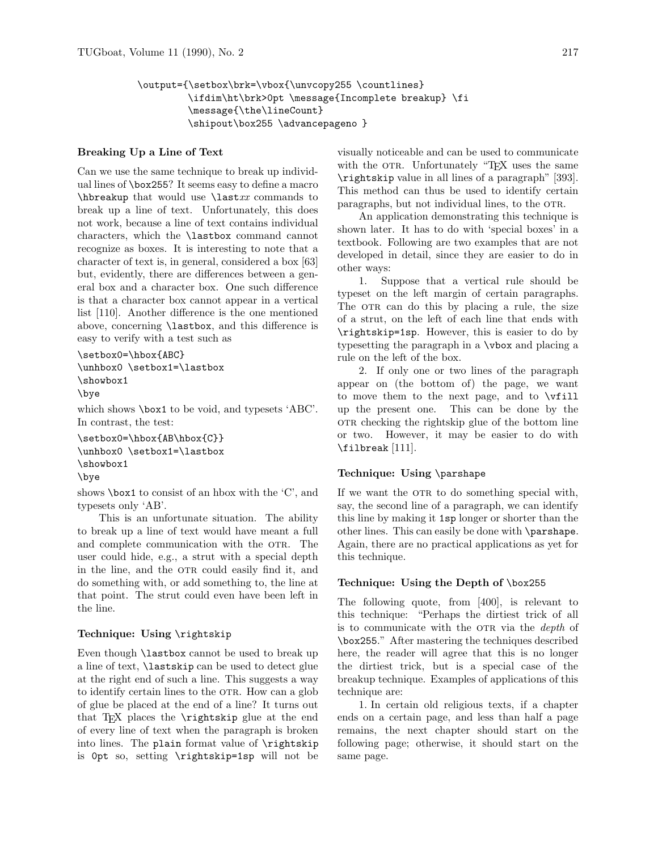```
\output={\setbox\brk=\vbox{\unvcopy255 \countlines}
         \ifdim\ht\brk>0pt \message{Incomplete breakup} \fi
         \message{\the\lineCount}
         \shipout\box255 \advancepageno }
```
## **Breaking Up a Line of Text**

Can we use the same technique to break up individual lines of  $\boxtimes 255$ ? It seems easy to define a macro  $\hbar$  that would use  $\hbar x$  commands to break up a line of text. Unfortunately, this does not work, because a line of text contains individual characters, which the \lastbox command cannot recognize as boxes. It is interesting to note that a character of text is, in general, considered a box [63] but, evidently, there are differences between a general box and a character box. One such difference isthat a character box cannot appear in a vertical list [110]. Another difference is the one mentioned above, concerning  $\lambda$  as  $\lambda$ , and this difference is easy to verify with a test such as

```
\setbox0=\hbox{ABC}
\unhbox0 \setbox1=\lastbox
\showbox1
\bye
```
which shows \box1 to be void, and typesets 'ABC'. In contrast, the test:

```
\setbox0=\hbox{AB\hbox{C}}
\unhbox0 \setbox1=\lastbox
\showbox1
\bye
```
shows \box1 to consist of an hbox with the 'C', and typesets only 'AB'.

This is an unfortunate situation. The ability to break up a line of text would have meant a full and complete communication with the OTR. The user could hide, e.g., a strut with a special depth in the line, and the OTR could easily find it, and do something with, or add something to, the line at that point. The strut could even have been left in the line.

## **Technique: Using** \rightskip

Even though \lastbox cannot be used to break up a line of text, \lastskip can be used to detect glue at the right end of such a line. This suggests a way to identify certain lines to the OTR. How can a glob of glue be placed at the end of a line? It turnsout that T<sub>EX</sub> places the  $\rightarrow$  superioriskip glue at the end of every line of text when the paragraph is broken into lines. The plain format value of \rightskip is 0pt so, setting \rightskip=1sp will not be visually noticeable and can be used to communicate with the OTR. Unfortunately "TEX uses the same \rightskip value in all lines of a paragraph" [393]. This method can thus be used to identify certain paragraphs, but not individual lines, to the OTR.

An application demonstrating this technique is shown later. It has to do with 'special boxes' in a textbook. Following are two examples that are not developed in detail, since they are easier to do in other ways:

1. Suppose that a vertical rule should be typeset on the left margin of certain paragraphs. The OTR can do this by placing a rule, the size of a strut, on the left of each line that ends with \rightskip=1sp. However, this is easier to do by typesetting the paragraph in a \vbox and placing a rule on the left of the box.

2. If only one or two lines of the paragraph appear on (the bottom of) the page, we want to move them to the next page, and to \vfill up the present one. This can be done by the other checking the rightskip glue of the bottom line or two. However, it may be easier to do with \filbreak [111].

# **Technique: Using** \parshape

If we want the OTR to do something special with, say, the second line of a paragraph, we can identify thisline by making it 1sp longer or shorter than the other lines. This can easily be done with \parshape. Again, there are no practical applications as yet for this technique.

# **Technique: Using the Depth of** \box255

The following quote, from  $[400]$ , is relevant to this technique: "Perhaps the dirtiest trick of all is to communicate with the OTR via the *depth* of \box255." After mastering the techniques described here, the reader will agree that this is no longer the dirtiest trick, but is a special case of the breakup technique. Examples of applications of this technique are:

1. In certain old religious texts, if a chapter ends on a certain page, and less than half a page remains, the next chapter should start on the following page; otherwise, it should start on the same page.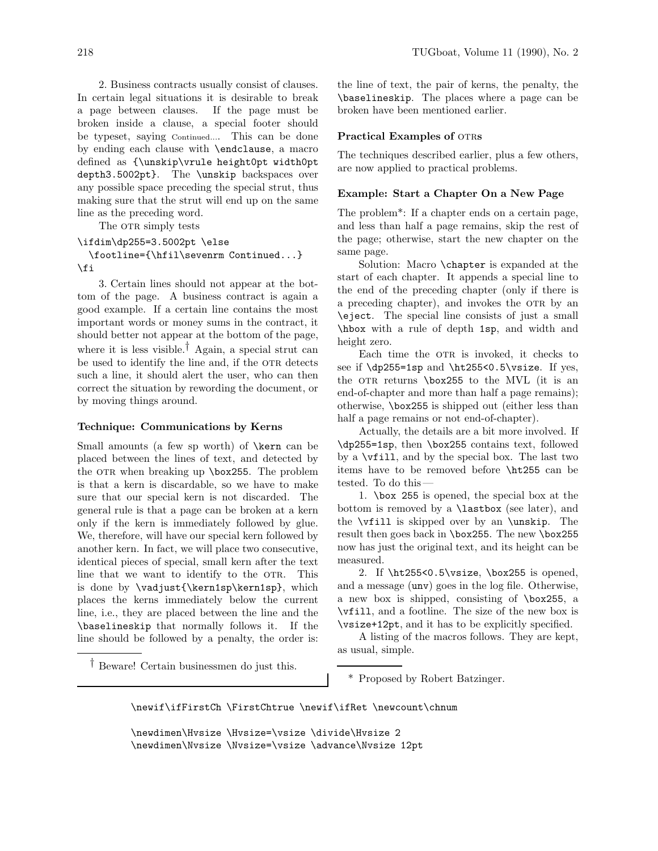2. Business contracts usually consist of clauses. In certain legal situations it is desirable to break a page between clauses. If the page must be broken inside a clause, a special footer should be typeset, saying Continued.... This can be done by ending each clause with \endclause, a macro defined as {\unskip\vrule height0pt width0pt depth3.5002pt}. The \unskip backspaces over any possible space preceding the special strut, thus making sure that the strut will end up on the same line asthe preceding word.

The OTR simply tests

## \ifdim\dp255=3.5002pt \else \footline={\hfil\sevenrm Continued...} \fi

3. Certain lines should not appear at the bottom of the page. A business contract is again a good example. If a certain line containsthe most important words or money sums in the contract, it should better not appear at the bottom of the page, where it is less visible.<sup>†</sup> Again, a special strut can be used to identify the line and, if the OTR detects such a line, it should alert the user, who can then correct the situation by rewording the document, or by moving things around.

## **Technique: Communications by Kerns**

Small amounts (a few sp worth) of **\kern** can be placed between the lines of text, and detected by the OTR when breaking up \box255. The problem is that a kern is discardable, so we have to make sure that our special kern is not discarded. The general rule isthat a page can be broken at a kern only if the kern is immediately followed by glue. We, therefore, will have our special kern followed by another kern. In fact, we will place two consecutive, identical pieces of special, small kern after the text line that we want to identify to the OTR. This is done by \vadjust{\kern1sp\kern1sp}, which places the kerns immediately below the current line, i.e., they are placed between the line and the \baselineskip that normally followsit. If the line should be followed by a penalty, the order is:

the line of text, the pair of kerns, the penalty, the \baselineskip. The placeswhere a page can be broken have been mentioned earlier.

#### **Practical Examples of OTRS**

The techniques described earlier, plus a few others, are now applied to practical problems.

#### **Example: Start a Chapter On a New Page**

The problem<sup>\*</sup>: If a chapter ends on a certain page, and less than half a page remains, skip the rest of the page; otherwise, start the new chapter on the same page.

Solution: Macro \chapter is expanded at the start of each chapter. It appends a special line to the end of the preceding chapter (only if there is a preceding chapter), and invokes the OTR by an \eject. The special line consists of just a small \hbox with a rule of depth 1sp, and width and height zero.

Each time the OTR is invoked, it checks to see if  $\dp255=1sp$  and  $\ht255<0.5\vsize$ . If yes, the OTR returns  $\boxtimes 255$  to the MVL (it is an end-of-chapter and more than half a page remains); otherwise, \box255 is shipped out (either less than half a page remains or not end-of-chapter).

Actually, the detailsare a bit more involved. If \dp255=1sp, then \box255 contains text, followed by a \vfill, and by the special box. The last two items have to be removed before \ht255 can be tested. To do this —

1. \box 255 isopened, the special box at the bottom is removed by a  $\lambda$  stbox (see later), and the  $\forall$  ill is skipped over by an  $\text{unskip.}$  The result then goes back in \box255. The new \box255 now has just the original text, and its height can be measured.

2. If  $\ht255<0.5\vsize$ ,  $box255$  is opened, and a message (unv) goesin the log file. Otherwise, a new box is shipped, consisting of \box255, a \vfill, and a footline. The size of the new box is \vsize+12pt, and it hasto be explicitly specified.

A listing of the macros follows. They are kept, as usual, simple.

† Beware! Certain businessmen do just this.

\* Proposed by Robert Batzinger.

\newif\ifFirstCh \FirstChtrue \newif\ifRet \newcount\chnum

\newdimen\Hvsize \Hvsize=\vsize \divide\Hvsize 2 \newdimen\Nvsize \Nvsize=\vsize \advance\Nvsize 12pt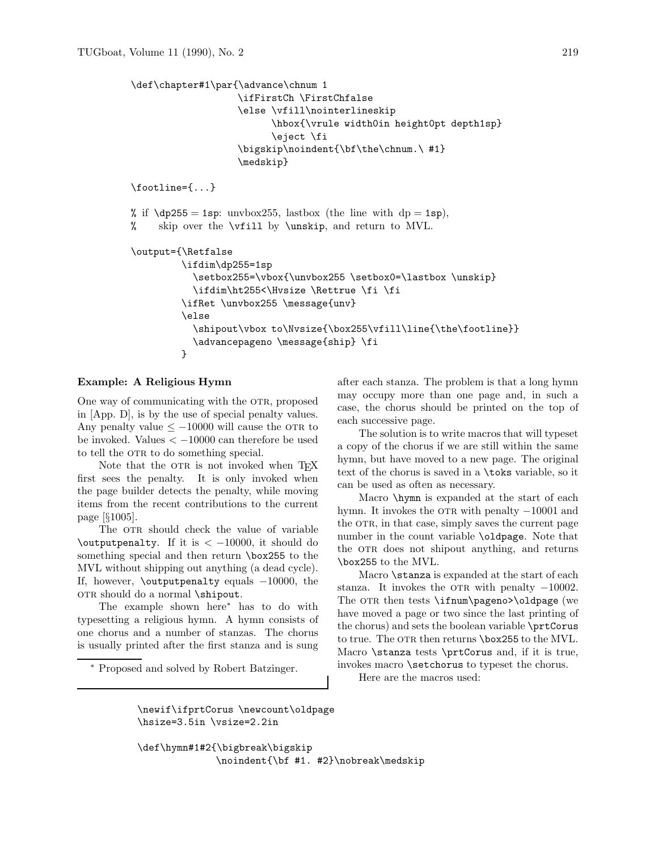```
\def\chapter#1\par{\advance\chnum 1
                   \ifFirstCh \FirstChfalse
                   \else \vfill\nointerlineskip
                          \hbox{\vrule width0in height0pt depth1sp}
                          \eject \fi
                   \bigskip\noindent{\bf\the\chnum.\ #1}
                   \medskip}
\footline={...}
% if \dot{\rho} = 1sp: unvbox255, lastbox (the line with dp = 1sp),
% skip over the \vfill by \unskip, and return to MVL.
\output={\Retfalse
         \ifdim\dp255=1sp
           \setbox255=\vbox{\unvbox255 \setbox0=\lastbox \unskip}
           \ifdim\ht255<\Hvsize \Rettrue \fi \fi
         \ifRet \unvbox255 \message{unv}
         \else
           \shipout\vbox to\Nvsize{\box255\vfill\line{\the\footline}}
           \advancepageno \message{ship} \fi
         }
```
#### **Example: A Religious Hymn**

One way of communicating with the OTR, proposed in [App. D], is by the use of special penalty values. Any penalty value  $\leq -10000$  will cause the OTR to be invoked. Values *<* −10000 can therefore be used to tell the OTR to do something special.

Note that the OTR is not invoked when T<sub>EX</sub> first sees the penalty. It is only invoked when the page builder detects the penalty, while moving items from the recent contributions to the current page [§1005].

The OTR should check the value of variable \outputpenalty. If it is *<* −10000, it should do something special and then return \box255 to the MVL without shipping out anything (a dead cycle). If, however, \outputpenalty equals −10000, the or R should do a normal \shipout.

The example shown here<sup>∗</sup> hasto do with typesetting a religious hymn. A hymn consists of one chorus and a number of stanzas. The chorus is usually printed after the first stanza and is sung

<sup>∗</sup> Proposed and solved by Robert Batzinger.

after each stanza. The problem is that a long hymn may occupy more than one page and, in such a case, the chorus should be printed on the top of each successive page.

The solution is to write macros that will typeset a copy of the chorus if we are still within the same hymn, but have moved to a new page. The original text of the chorus is saved in a **\toks** variable, so it can be used as often as necessary.

Macro \hymn is expanded at the start of each hymn. It invokes the OTR with penalty  $-10001$  and the OTR, in that case, simply saves the current page number in the count variable \oldpage. Note that the OTR does not shipout anything, and returns \box255 to the MVL.

Macro **\stanza** is expanded at the start of each stanza. It invokes the OTR with penalty  $-10002$ . The OTR then tests  $\ifmmode\text{i\textwidth/2.0ex}{\textbf{Imum}}\pmod\{0\}$  (we have moved a page or two since the last printing of the chorus) and sets the boolean variable \prtCorus to true. The OTR then returns \box255 to the MVL. Macro  $\star$  at  $\text{Corus}$  and, if it is true, invokes macro **\setchorus** to typeset the chorus.

Here are the macros used:

\newif\ifprtCorus \newcount\oldpage \hsize=3.5in \vsize=2.2in

\def\hymn#1#2{\bigbreak\bigskip \noindent{\bf #1. #2}\nobreak\medskip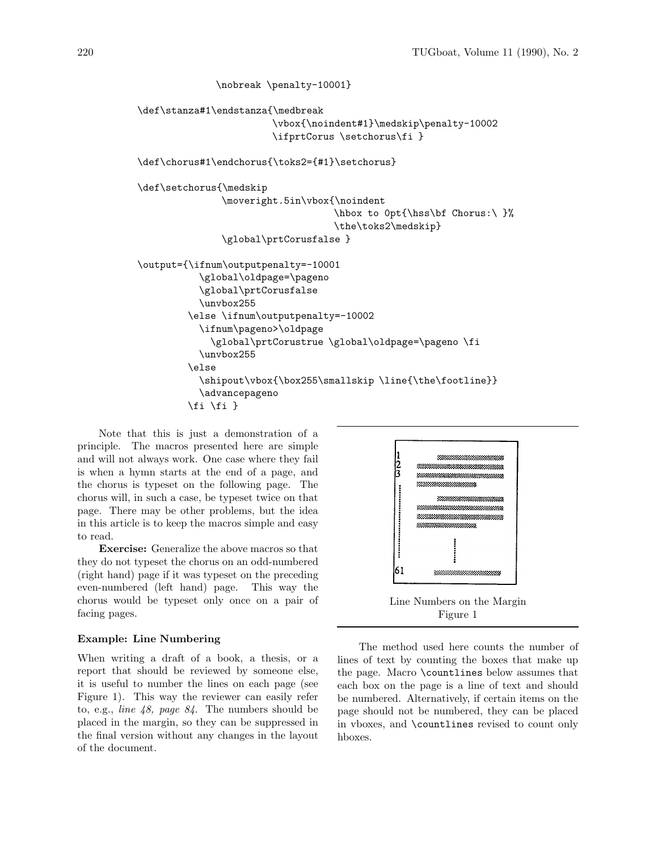```
\nobreak \penalty-10001}
\def\stanza#1\endstanza{\medbreak
                        \vbox{\noindent#1}\medskip\penalty-10002
                        \ifprtCorus \setchorus\fi }
\def\chorus#1\endchorus{\toks2={#1}\setchorus}
\def\setchorus{\medskip
               \moveright.5in\vbox{\noindent
                                    \hbox to 0pt{\hss\bf Chorus:\ }%
                                    \the\toks2\medskip}
               \global\prtCorusfalse }
\output={\ifnum\outputpenalty=-10001
           \global\oldpage=\pageno
           \global\prtCorusfalse
           \unvbox255
         \else \ifnum\outputpenalty=-10002
           \ifnum\pageno>\oldpage
             \global\prtCorustrue \global\oldpage=\pageno \fi
           \unvbox255
         \else
           \shipout\vbox{\box255\smallskip \line{\the\footline}}
           \advancepageno
         \{f_i \mid f_i\}
```
Note that this is just a demonstration of a principle. The macros presented here are simple and will not always work. One case where they fail is when a hymn starts at the end of a page, and the chorus is typeset on the following page. The chorus will, in such a case, be typeset twice on that page. There may be other problems, but the idea in this article is to keep the macros simple and easy to read.

**Exercise:** Generalize the above macros so that they do not typeset the chorus on an odd-numbered (right hand) page if it wastypeset on the preceding even-numbered (left hand) page. This way the choruswould be typeset only once on a pair of facing pages.

#### **Example: Line Numbering**

When writing a draft of a book, a thesis, or a report that should be reviewed by someone else, it is useful to number the lines on each page (see Figure 1). Thisway the reviewer can easily refer to, e.g., *line 48*, *page 84*. The numbers should be placed in the margin, so they can be suppressed in the final version without any changes in the layout of the document.



Figure 1

The method used here counts the number of lines of text by counting the boxes that make up the page. Macro \countlines below assumes that each box on the page is a line of text and should be numbered. Alternatively, if certain items on the page should not be numbered, they can be placed in vboxes, and \countlines revised to count only hboxes.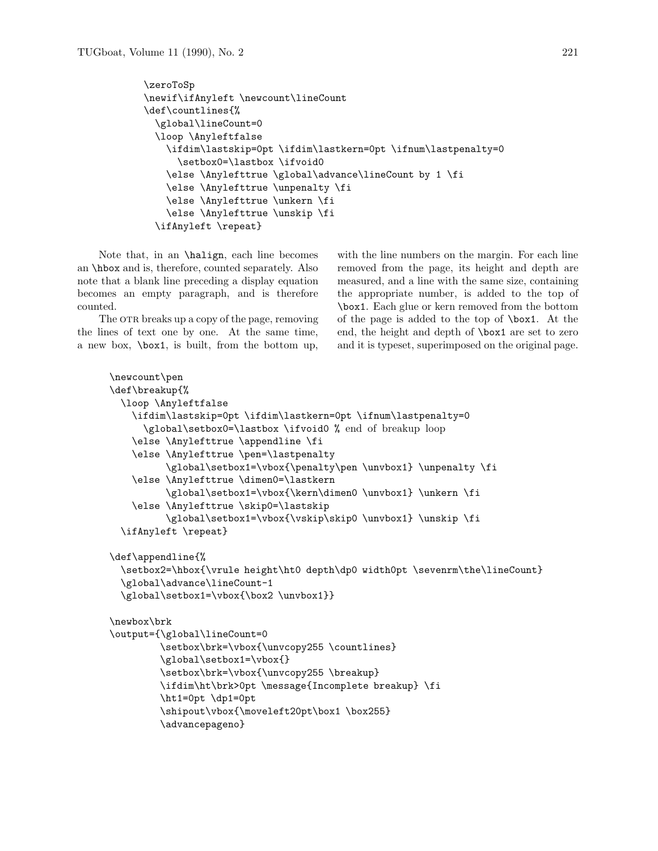```
\zeroToSp
\newif\ifAnyleft \newcount\lineCount
\def\countlines{%
  \global\lineCount=0
  \loop \Anyleftfalse
    \ifdim\lastskip=0pt \ifdim\lastkern=0pt \ifnum\lastpenalty=0
      \setbox0=\lastbox \ifvoid0
    \else \Anylefttrue \global\advance\lineCount by 1 \fi
    \else \Anylefttrue \unpenalty \fi
    \else \Anylefttrue \unkern \fi
    \else \Anylefttrue \unskip \fi
  \ifAnyleft \repeat}
```
Note that, in an \halign, each line becomes an \hbox and is, therefore, counted separately. Also note that a blank line preceding a display equation becomes an empty paragraph, and is therefore counted.

The OTR breaks up a copy of the page, removing the lines of text one by one. At the same time, a new box, \box1, is built, from the bottom up,

with the line numbers on the margin. For each line removed from the page, its height and depth are measured, and a line with the same size, containing the appropriate number, is added to the top of \box1. Each glue or kern removed from the bottom of the page is added to the top of **\box1**. At the end, the height and depth of \box1 are set to zero and it is typeset, superimposed on the original page.

```
\newcount\pen
\def\breakup{%
 \loop \Anyleftfalse
   \ifdim\lastskip=0pt \ifdim\lastkern=0pt \ifnum\lastpenalty=0
      \global\setbox0=\lastbox \ifvoid0 % end of breakup loop
    \else \Anylefttrue \appendline \fi
   \else \Anylefttrue \pen=\lastpenalty
          \global\setbox1=\vbox{\penalty\pen \unvbox1} \unpenalty \fi
   \else \Anylefttrue \dimen0=\lastkern
          \global\setbox1=\vbox{\kern\dimen0 \unvbox1} \unkern \fi
   \else \Anylefttrue \skip0=\lastskip
          \global\setbox1=\vbox{\vskip\skip0 \unvbox1} \unskip \fi
 \ifAnyleft \repeat}
\def\appendline{%
 \setbox2=\hbox{\vrule height\ht0 depth\dp0 width0pt \sevenrm\the\lineCount}
  \global\advance\lineCount-1
  \global\setbox1=\vbox{\box2 \unvbox1}}
\newbox\brk
\output={\global\lineCount=0
         \setbox\brk=\vbox{\unvcopy255 \countlines}
         \global\setbox1=\vbox{}
         \setbox\brk=\vbox{\unvcopy255 \breakup}
         \ifdim\ht\brk>0pt \message{Incomplete breakup} \fi
         \ht1=0pt \dp1=0pt
         \shipout\vbox{\moveleft20pt\box1 \box255}
         \advancepageno}
```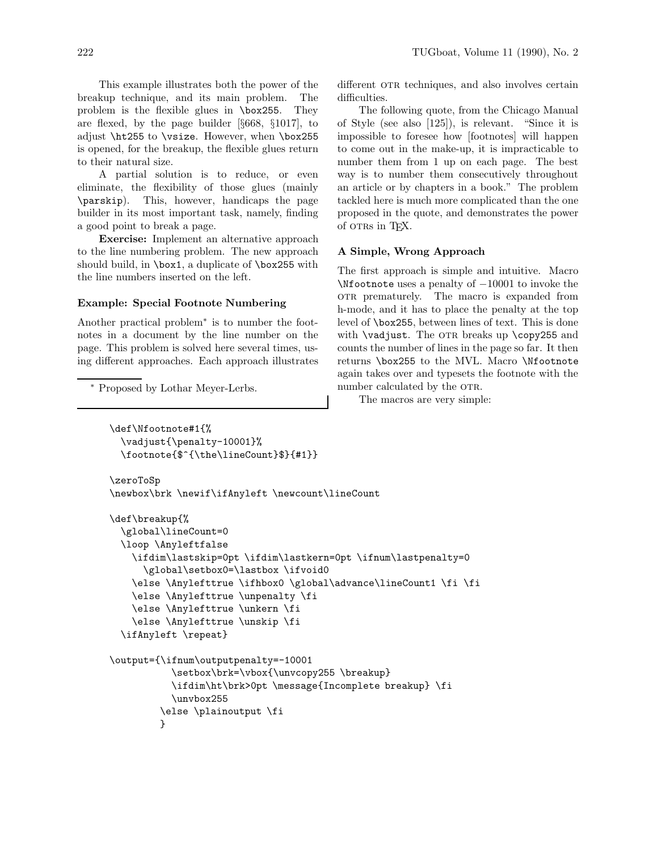This example illustrates both the power of the breakup technique, and its main problem. The problem is the flexible glues in  $\boxtimes 255$ . They are flexed, by the page builder [§668, §1017], to adjust \ht255 to \vsize. However, when \box255 is opened, for the breakup, the flexible glues return to their natural size.

A partial solution is to reduce, or even eliminate, the flexibility of those glues (mainly \parskip). This, however, handicaps the page builder in its most important task, namely, finding a good point to break a page.

**Exercise:** Implement an alternative approach to the line numbering problem. The new approach should build, in \box1, a duplicate of \box255 with the line numbers inserted on the left.

#### **Example: Special Footnote Numbering**

Another practical problem<sup>∗</sup> is to number the footnotes in a document by the line number on the page. This problem is solved here several times, using different approaches. Each approach illustrates

<sup>∗</sup> Proposed by Lothar Meyer-Lerbs.

different OTR techniques, and also involves certain difficulties.

The following quote, from the Chicago Manual of Style (see also [125]), is relevant. "Since it is impossible to foresee how [footnotes] will happen to come out in the make-up, it isimpracticable to number them from 1 up on each page. The best way is to number them consecutively throughout an article or by chapters in a book." The problem tackled here is much more complicated than the one proposed in the quote, and demonstrates the power of otrs in T<sub>F</sub>X.

#### **A Simple, Wrong Approach**

The first approach is simple and intuitive. Macro \Nfootnote uses a penalty of −10001 to invoke the or R prematurely. The macro is expanded from h-mode, and it has to place the penalty at the top level of  $\boxtimes$ 255, between lines of text. This is done with  $\varepsilon$  The OTR breaks up  $\coprod$   $\coprod$   $\cong$   $\Box$ counts the number of lines in the page so far. It then returns \box255 to the MVL. Macro \Nfootnote again takes over and typesets the footnote with the number calculated by the OTR.

The macros are very simple:

```
\def\Nfootnote#1{%
 \vadjust{\penalty-10001}%
 \footnote{$^{\the\lineCount}$}{#1}}
\zeroToSp
\newbox\brk \newif\ifAnyleft \newcount\lineCount
\def\breakup{%
 \global\lineCount=0
 \loop \Anyleftfalse
   \ifdim\lastskip=0pt \ifdim\lastkern=0pt \ifnum\lastpenalty=0
     \global\setbox0=\lastbox \ifvoid0
   \else \Anylefttrue \ifhbox0 \global\advance\lineCount1 \fi \fi
   \else \Anylefttrue \unpenalty \fi
   \else \Anylefttrue \unkern \fi
   \else \Anylefttrue \unskip \fi
 \ifAnyleft \repeat}
\output={\ifnum\outputpenalty=-10001
           \setbox\brk=\vbox{\unvcopy255 \breakup}
           \ifdim\ht\brk>0pt \message{Incomplete breakup} \fi
           \unvbox255
         \else \plainoutput \fi
         }
```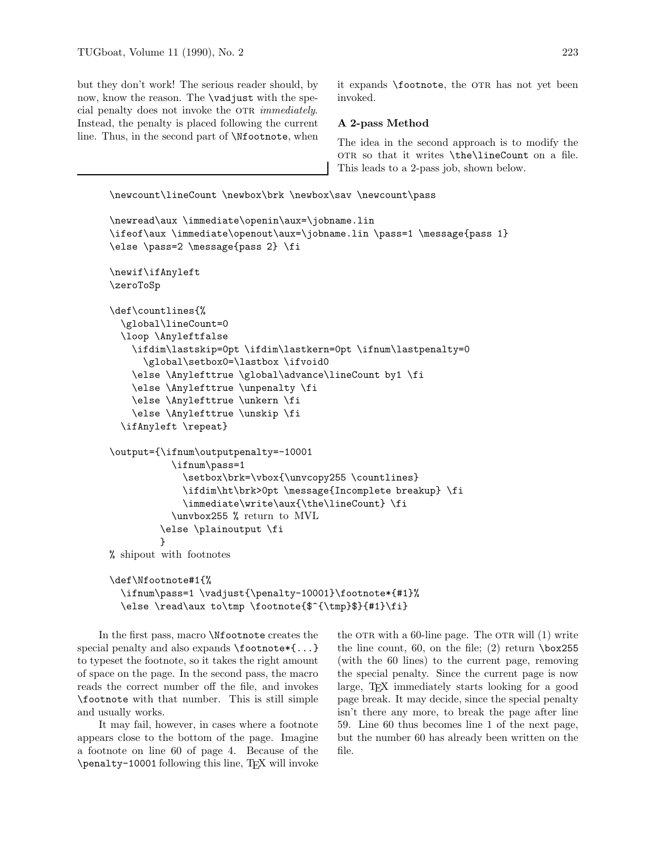but they don't work! The serious reader should, by now, know the reason. The \vadjust with the special penalty does not invoke the OTR *immediately*. Instead, the penalty is placed following the current line. Thus, in the second part of \Nfootnote, when

it expands \footnote, the OTR has not yet been invoked.

#### **A 2-pass Method**

The idea in the second approach is to modify the OTR so that it writes \the\lineCount on a file. This leads to a 2-pass job, shown below.

```
\newcount\lineCount \newbox\brk \newbox\sav \newcount\pass
```

```
\newread\aux \immediate\openin\aux=\jobname.lin
\ifeof\aux \immediate\openout\aux=\jobname.lin \pass=1 \message{pass 1}
\else \pass=2 \message{pass 2} \fi
\newif\ifAnyleft
\zeroToSp
\def\countlines{%
  \global\lineCount=0
  \loop \Anyleftfalse
    \ifdim\lastskip=0pt \ifdim\lastkern=0pt \ifnum\lastpenalty=0
      \global\setbox0=\lastbox \ifvoid0
    \else \Anylefttrue \global\advance\lineCount by1 \fi
    \else \Anylefttrue \unpenalty \fi
    \else \Anylefttrue \unkern \fi
    \else \Anylefttrue \unskip \fi
  \ifAnyleft \repeat}
\output={\ifnum\outputpenalty=-10001
           \ifnum\pass=1
             \setbox\brk=\vbox{\unvcopy255 \countlines}
             \ifdim\ht\brk>0pt \message{Incomplete breakup} \fi
             \immediate\write\aux{\the\lineCount} \fi
           \unvbox255 % return to MVL
         \else \plainoutput \fi
         }
% shipout with footnotes
\def\Nfootnote#1{%
```

```
\ifnum\pass=1 \vadjust{\penalty-10001}\footnote*{#1}%
\else \read\aux to\tmp \footnote{$^{\tmp}$}{#1}\fi}
```
In the first pass, macro **\Nfootnote** creates the special penalty and also expands \footnote\*{...} to typeset the footnote, so it takes the right amount of space on the page. In the second pass, the macro reads the correct number off the file, and invokes \footnote with that number. Thisisstill simple and usually works.

It may fail, however, in cases where a footnote appears close to the bottom of the page. Imagine a footnote on line 60 of page 4. Because of the \penalty-10001 following thisline, TEX will invoke the OTR with a 60-line page. The OTR will  $(1)$  write the line count, 60, on the file;  $(2)$  return  $\boxtimes 255$ (with the 60 lines) to the current page, removing the special penalty. Since the current page is now large, TEX immediately starts looking for a good page break. It may decide, since the special penalty isn't there any more, to break the page after line 59. Line 60 thus becomes line 1 of the next page, but the number 60 has already been written on the file.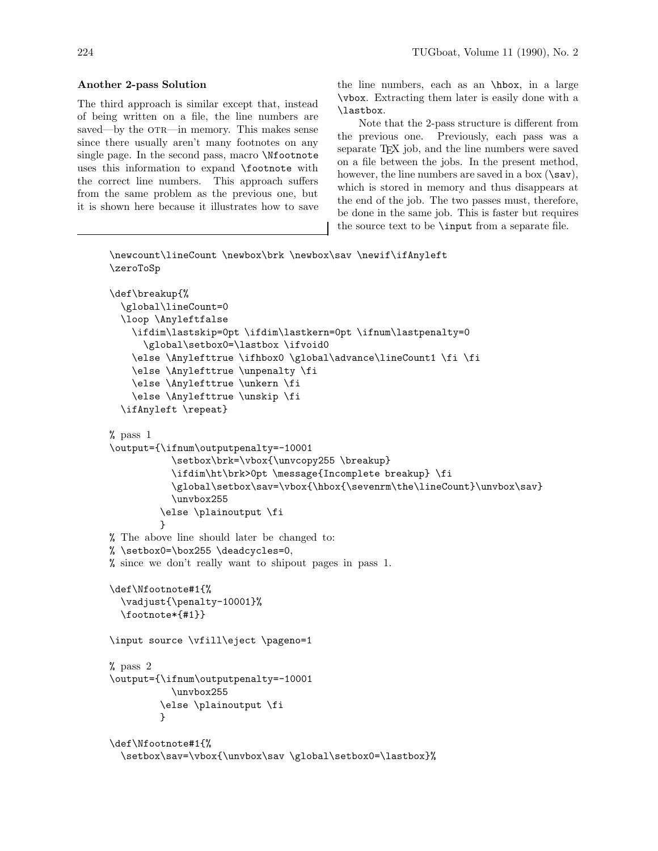## **Another 2-pass Solution**

The third approach is similar except that, instead of being written on a file, the line numbers are saved—by the OTR—in memory. This makes sense since there usually aren't many footnotes on any single page. In the second pass, macro \Nfootnote uses this information to expand **\footnote** with the correct line numbers. This approach suffers from the same problem as the previous one, but it is shown here because it illustrates how to save the line numbers, each as an \hbox, in a large \vbox. Extracting them later iseasily done with a \lastbox.

Note that the 2-pass structure is different from the previous one. Previously, each pass was a separate T<sub>F</sub>X job, and the line numbers were saved on a file between the jobs. In the present method, however, the line numbers are saved in a box  $(\s$ av), which is stored in memory and thus disappears at the end of the job. The two passes must, therefore, be done in the same job. This is faster but requires the source text to be \input from a separate file.

```
\newcount\lineCount \newbox\brk \newbox\sav \newif\ifAnyleft
\zeroToSp
\def\breakup{%
  \global\lineCount=0
  \loop \Anyleftfalse
    \ifdim\lastskip=0pt \ifdim\lastkern=0pt \ifnum\lastpenalty=0
      \global\setbox0=\lastbox \ifvoid0
    \else \Anylefttrue \ifhbox0 \global\advance\lineCount1 \fi \fi
    \else \Anylefttrue \unpenalty \fi
    \else \Anylefttrue \unkern \fi
    \else \Anylefttrue \unskip \fi
  \ifAnyleft \repeat}
% pass 1
\output={\ifnum\outputpenalty=-10001
           \setbox\brk=\vbox{\unvcopy255 \breakup}
           \ifdim\ht\brk>0pt \message{Incomplete breakup} \fi
           \global\setbox\sav=\vbox{\hbox{\sevenrm\the\lineCount}\unvbox\sav}
           \unvbox255
         \else \plainoutput \fi
         \mathbf{r}% The above line should later be changed to:
% \setbox0=\box255 \deadcycles=0,
% since we don't really want to shipout pages in pass 1.
\def\Nfootnote#1{%
  \vadjust{\penalty-10001}%
  \footnote*{#1}}
\input source \vfill\eject \pageno=1
% pass 2
\output={\ifnum\outputpenalty=-10001
           \unvbox255
         \else \plainoutput \fi
         }
\def\Nfootnote#1{%
  \setbox\sav=\vbox{\unvbox\sav \global\setbox0=\lastbox}%
```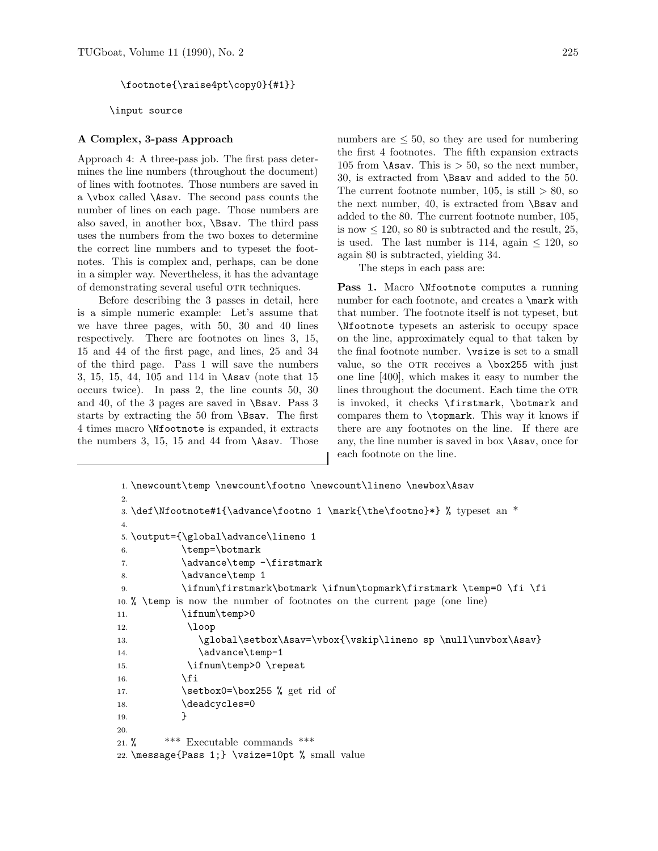\footnote{\raise4pt\copy0}{#1}}

\input source

#### **A Complex, 3-pass Approach**

Approach 4: A three-pass job. The first pass determines the line numbers (throughout the document) of lines with footnotes. Those numbers are saved in a \vbox called \Asav. The second pass counts the number of lines on each page. Those numbers are also saved, in another box, **\Bsav**. The third pass uses the numbers from the two boxes to determine the correct line numbers and to typeset the footnotes. This is complex and, perhaps, can be done in a simpler way. Nevertheless, it has the advantage of demonstrating several useful OTR techniques.

Before describing the 3 passes in detail, here is a simple numeric example: Let's assume that we have three pages, with 50, 30 and 40 lines respectively. There are footnotes on lines 3, 15, 15 and 44 of the first page, and lines, 25 and 34 of the third page. Pass 1 will save the numbers 3, 15, 15, 44, 105 and 114 in \Asav (note that 15 occurs twice). In pass 2, the line counts  $50, 30$ and 40, of the 3 pages are saved in  $\$  Bsav. Pass 3 starts by extracting the 50 from **\Bsav**. The first 4 times macro \Nfootnote is expanded, it extracts the numbers 3, 15, 15 and 44 from  $\text{Assav. Those}}$  numbers are  $\leq 50$ , so they are used for numbering the first 4 footnotes. The fifth expansion extracts 105 from  $\text{Assav.}$  This is  $> 50$ , so the next number, 30, is extracted from **\Bsav** and added to the 50. The current footnote number,  $105$ , is still  $> 80$ , so the next number, 40, is extracted from  $\$ Sav and added to the 80. The current footnote number, 105, is now  $\leq 120$ , so 80 is subtracted and the result, 25, is used. The last number is 114, again  $\leq 120$ , so again 80 is subtracted, yielding 34.

The steps in each pass are:

Pass 1. Macro *\Nfootnote computes a running* number for each footnote, and creates a **\mark** with that number. The footnote itself is not typeset, but \Nfootnote typesets an asterisk to occupy space on the line, approximately equal to that taken by the final footnote number. \vsize is set to a small value, so the OTR receives a  $\boxtimes 255$  with just one line [400], which makesit easy to number the lines throughout the document. Each time the OTR is invoked, it checks \firstmark, \botmark and compares them to \topmark. This way it knows if there are any footnotes on the line. If there are any, the line number is saved in box  $\lambda$ sav, once for each footnote on the line.

```
1. \newcount\temp \newcount\footno \newcount\lineno \newbox\Asav
2.
3. \def\Nfootnote#1{\advance\footno 1 \mark{\the\footno}*} % typeset an *
4.
5. \output={\global\advance\lineno 1
6. \temp=\botmark
7. \advance\temp -\firstmark8. \advance\temp 1
9. \ifnum\firstmark\botmark \ifnum\topmark\firstmark \temp=0 \fi \fi
10. % \temp is now the number of footnotes on the current page (one line)
11. \ifnum\temp>0
12. \loop
13. \global\setbox\Asav=\vbox{\vskip\lineno sp \null\unvbox\Asav}
14. \advance\temp-1
15. \ifnum\temp>0 \repeat
16. \fi
17. \setbox0=\box255 % get rid of
18. \deadcycles=0
19.    }
20.
21. % *** Executable commands***
22. \message{Pass 1;} \vsize=10pt % small value
```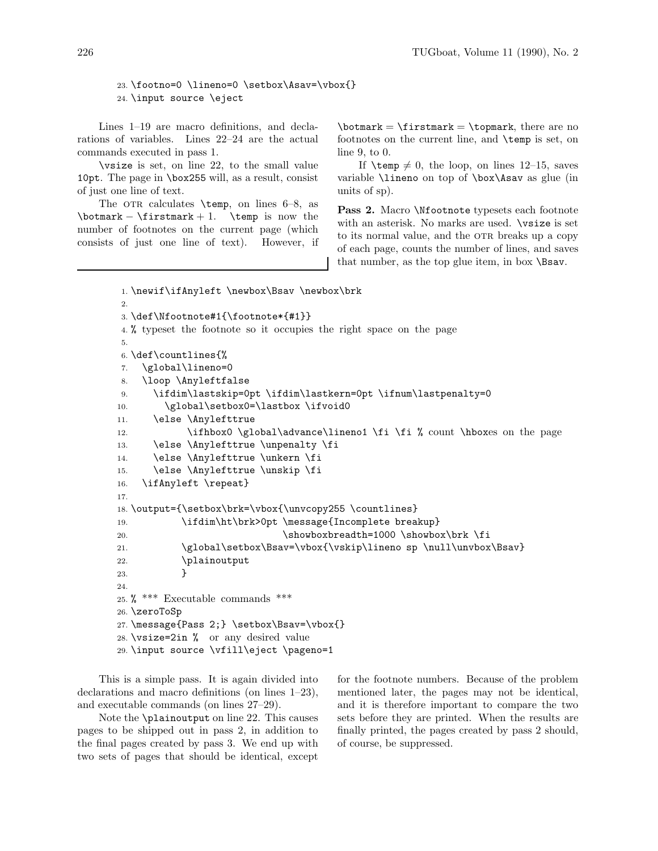23. \footno=0 \lineno=0 \setbox\Asav=\vbox{} 24. \input source \eject

Lines 1–19 are macro definitions, and declarations of variables. Lines  $22-24$  are the actual commands executed in pass 1.

\vsize is set, on line 22, to the small value 10pt. The page in \box255 will, as a result, consist of just one line of text.

The OTR calculates  $\temp$ , on lines 6–8, as  $\bot$ mark –  $\ti$ rstmark + 1.  $\tenp$  is now the number of footnotes on the current page (which consists of just one line of text). However, if  $\bot$ mark =  $\ti$ rstmark =  $\top$ xtopmark, there are no footnotes on the current line, and **\temp** is set, on line 9, to 0.

If  $\text{temp} \neq 0$ , the loop, on lines 12–15, saves variable **\lineno** on top of **\box\Asav** as glue (in units of sp).

Pass 2. Macro *Nfootnote* typesets each footnote with an asterisk. No marks are used.  $\forall$ rsize is set to its normal value, and the OTR breaks up a copy of each page, counts the number of lines, and saves that number, as the top glue item, in box  $\$ Bsav.

```
1. \newif\ifAnyleft \newbox\Bsav \newbox\brk
2.
3. \def\Nfootnote#1{\footnote*{#1}}
4. % typeset the footnote so it occupies the right space on the page
5.
6. \def\countlines{%
7. \global\lineno=0
8. \loop \Anyleftfalse
9. \ifdim\lastskip=0pt \ifdim\lastkern=0pt \ifnum\lastpenalty=0
10. \global\setbox0=\lastbox \ifvoid0
11. \else \Anylefttrue
12. \ifhbox0 \global\advance\lineno1 \fi \fi % count \hboxes on the page
13. \else \Anylefttrue \unpenalty \fi
14. \else \Anylefttrue \unkern \fi
15. \else \Anylefttrue \unskip \fi
16. \ifAnyleft \repeat}
17.
18. \output={\setbox\brk=\vbox{\unvcopy255 \countlines}
19. \ifdim\ht\brk>0pt \message{Incomplete breakup}
20. \showboxbreadth=1000 \showbox\br>k.21. \global\setbox\Bsav=\vbox{\vskip\lineno sp \null\unvbox\Bsav}
22. \Delta \plainoutput
23. }
24.
25. \frac{1}{2} *** Executable commands ***
26. \zeroToSp
27. \message{Pass 2;} \setbox\Bsav=\vbox{}
28. \vsize=2in % or any desired value
29. \input source \vfill\eject \pageno=1
```
This is a simple pass. It is again divided into declarations and macro definitions (on lines  $1-23$ ), and executable commands (on lines  $27-29$ ).

Note the **\plainoutput** on line 22. This causes pages to be shipped out in pass 2, in addition to the final pages created by pass 3. We end up with two sets of pages that should be identical, except

for the footnote numbers. Because of the problem mentioned later, the pages may not be identical, and it is therefore important to compare the two sets before they are printed. When the results are finally printed, the pages created by pass 2 should, of course, be suppressed.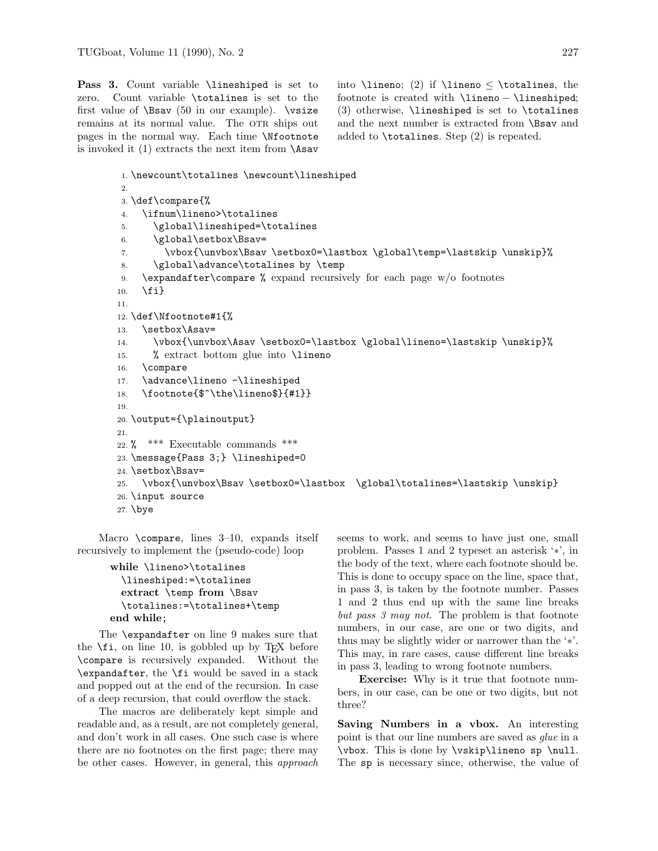Pass 3. Count variable *\lineshiped* is set to zero. Count variable \totalines is set to the first value of  $\$ Sav (50 in our example).  $\$ remains at its normal value. The OTR ships out pages in the normal way. Each time \Nfootnote is invoked it  $(1)$  extracts the next item from  $\text{hasav}$ 

into \lineno; (2) if \lineno  $\lt$  \totalines, the footnote is created with \lineno – \lineshiped;  $(3)$  otherwise, **\lineshiped** is set to **\totalines** and the next number is extracted from **\Bsav** and added to  $\theta$ . Step  $(2)$  is repeated.

```
1. \newcount\totalines \newcount\lineshiped
2.
3. \def\compare{%
4. \ifnum\lineno>\totalines
5. \global\lineshiped=\totalines
6. \global\setbox\Bsav=
7. \vbox{\unvbox\Bsav \setbox0=\lastbox \global\temp=\lastskip \unskip}%
8. \global\advance\totalines by \temp
9. \expandafter\compare % expand recursively for each page w/o footnotes
10. \{f_i\}11.
12. \def\Nfootnote#1{%
13. \setbox\Asav=
14. \vbox{\unvbox\Asav \setbox0=\lastbox \global\lineno=\lastskip \unskip}%
15. % extract bottom glue into \lineno
16. \compare
17. \advance\lineno -\lineshiped
18. \footnote{$^\the\lineno$}{#1}}
19.
20. \output={\plainoutput}
21.
22. % *** Executable commands ***
23. \message{Pass 3;} \lineshiped=0
24. \setbox\Bsav=
25. \vbox{\unvbox\Bsav \setbox0=\lastbox \global\totalines=\lastskip \unskip}
26. \input source
27. \bye
```
Macro  $\text{compare}, \text{lines } 3-10, \text{ expands itself}$ recursively to implement the (pseudo-code) loop

```
while \lineno>\totalines
 \lineshiped:=\totalines
 extract \temp from \Bsav
  \totalines:=\totalines+\temp
end while;
```
The  $\epsilon$  are  $\theta$  makes sure that the  $\setminus$ **fi**, on line 10, is gobbled up by T<sub>E</sub>X before \compare is recursively expanded. Without the \expandafter, the \fi would be saved in a stack and popped out at the end of the recursion. In case of a deep recursion, that could overflow the stack.

The macros are deliberately kept simple and readable and, as a result, are not completely general, and don't work in all cases. One such case is where there are no footnotes on the first page; there may be other cases. However, in general, this *approach* seems to work, and seems to have just one, small problem. Passes 1 and 2 typeset an asterisk '∗', in the body of the text, where each footnote should be. This is done to occupy space on the line, space that, in pass 3, is taken by the footnote number. Passes 1 and 2 thus end up with the same line breaks *but pass 3 may not.* The problem is that footnote numbers, in our case, are one or two digits, and thus may be slightly wider or narrower than the '∗'. This may, in rare cases, cause different line breaks in pass 3, leading to wrong footnote numbers.

**Exercise:** Why is it true that footnote numbers, in our case, can be one or two digits, but not three?

**Saving Numbers in a vbox.** An interesting point is that our line numbers are saved as *glue* in a \vbox. Thisisdone by \vskip\lineno sp \null. The sp is necessary since, otherwise, the value of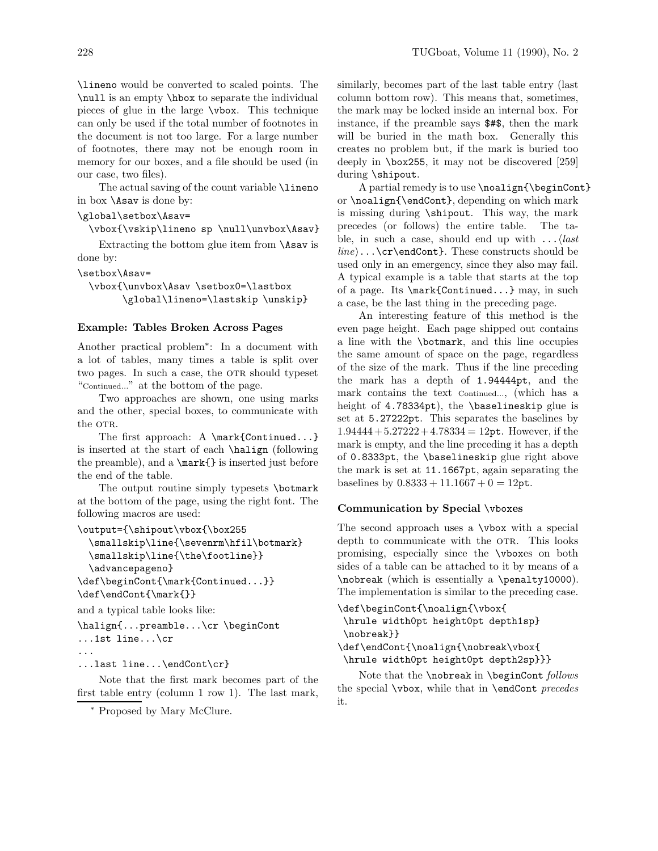\lineno would be converted to scaled points. The \null isan empty \hbox to separate the individual pieces of glue in the large  $\nabla$  vbox. This technique can only be used if the total number of footnotes in the document is not too large. For a large number of footnotes, there may not be enough room in memory for our boxes, and a file should be used (in our case, two files).

The actual saving of the count variable  $\lambda$ lineno in box  $\lambda$ sav is done by:

### \global\setbox\Asav=

\vbox{\vskip\lineno sp \null\unvbox\Asav}

Extracting the bottom glue item from \Asav is done by:

\setbox\Asav=

\vbox{\unvbox\Asav \setbox0=\lastbox \global\lineno=\lastskip \unskip}

#### **Example: Tables Broken Across Pages**

Another practical problem∗: In a document with a lot of tables, many times a table is split over two pages. In such a case, the OTR should typeset "Continued..." at the bottom of the page.

Two approaches are shown, one using marks and the other, special boxes, to communicate with the OTR.

The first approach: A \mark{Continued...} is inserted at the start of each \halign (following the preamble), and a \mark{} is inserted just before the end of the table.

The output routine simply typesets **\botmark** at the bottom of the page, using the right font. The following macros are used:

```
\output={\shipout\vbox{\box255
```

```
\smallskip\line{\sevenrm\hfil\botmark}
 \smallskip\line{\the\footline}}
 \advancepageno}
\def\beginCont{\mark{Continued...}}
\def\endCont{\mark{}}
```
and a typical table looks like:

```
\halign{...preamble...\cr \beginCont
...1st line...\cr
...
```

```
...last line...\endCont\cr}
```
Note that the first mark becomes part of the first table entry (column 1 row 1). The last mark,

<sup>∗</sup> Proposed by Mary McClure.

similarly, becomes part of the last table entry (last column bottom row). This means that, sometimes, the mark may be locked inside an internal box. For instance, if the preamble says \$#\$, then the mark will be buried in the math box. Generally this creates no problem but, if the mark is buried too deeply in \box255, it may not be discovered [259] during \shipout.

A partial remedy is to use \noalign{\beginCont} or \noalign{\endCont}, depending on which mark is missing during \shipout. This way, the mark precedes (or follows) the entire table. The table, in such a case, should end up with ...*last line*...\cr\endCont}. These constructs should be used only in an emergency, since they also may fail. A typical example is a table that starts at the top of a page. Its \mark{Continued...} may, in such a case, be the last thing in the preceding page.

An interesting feature of this method is the even page height. Each page shipped out contains a line with the **\botmark**, and this line occupies the same amount of space on the page, regardless of the size of the mark. Thus if the line preceding the mark hasa depth of 1.94444pt, and the mark contains the text Continued..., (which has a height of 4.78334pt), the \baselineskip glue is set at 5.27222pt. This separates the baselines by  $1.94444 + 5.27222 + 4.78334 = 12$ pt. However, if the mark is empty, and the line preceding it has a depth of 0.8333pt, the \baselineskip glue right above the mark isset at 11.1667pt, again separating the baselines by  $0.8333 + 11.1667 + 0 = 12$ pt.

#### **Communication by Special** \vbox**es**

The second approach uses a \vbox with a special depth to communicate with the OTR. This looks promising, especially since the **\vboxes** on both sides of a table can be attached to it by means of a \nobreak (which is essentially a \penalty10000). The implementation is similar to the preceding case.

```
\def\beginCont{\noalign{\vbox{
```
\hrule width0pt height0pt depth1sp} \nobreak}}

```
\def\endCont{\noalign{\nobreak\vbox{
\hrule width0pt height0pt depth2sp}}}
```
Note that the \nobreak in \beginCont *follows* the special \vbox, while that in \endCont *precedes* it.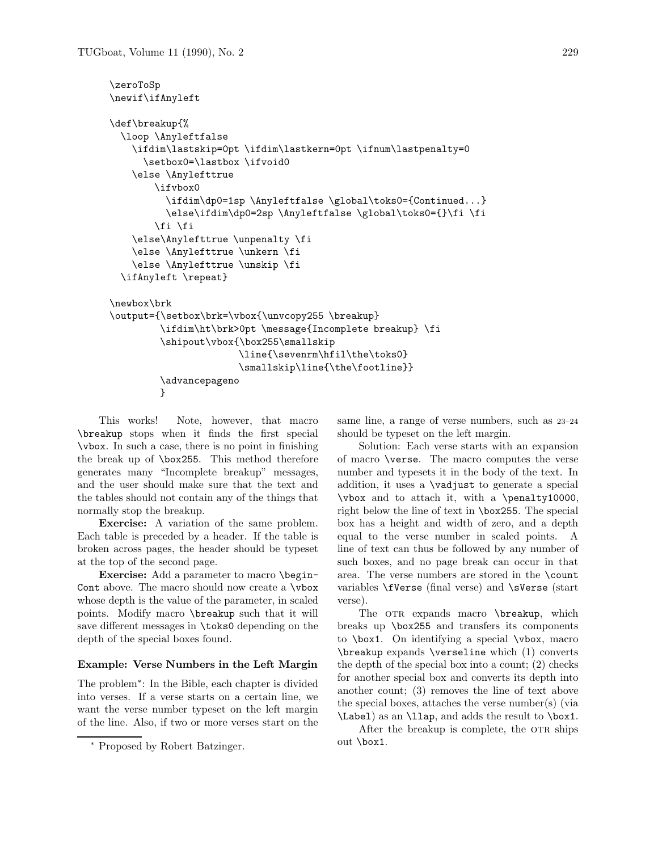```
\zeroToSp
\newif\ifAnyleft
\def\breakup{%
 \loop \Anyleftfalse
   \ifdim\lastskip=0pt \ifdim\lastkern=0pt \ifnum\lastpenalty=0
     \setbox0=\lastbox \ifvoid0
   \else \Anylefttrue
        \ifvbox0
          \ifdim\dp0=1sp \Anyleftfalse \global\toks0={Continued...}
         \else\ifdim\dp0=2sp \Anyleftfalse \global\toks0={}\fi \fi
        \fi \fi
   \else\Anylefttrue \unpenalty \fi
   \else \Anylefttrue \unkern \fi
   \else \Anylefttrue \unskip \fi
 \ifAnyleft \repeat}
\newbox\brk
\output={\setbox\brk=\vbox{\unvcopy255 \breakup}
         \ifdim\ht\brk>0pt \message{Incomplete breakup} \fi
         \shipout\vbox{\box255\smallskip
                       \line{\sevenrm\hfil\the\toks0}
                       \smallskip\line{\the\footline}}
         \advancepageno
         }
```
This works! Note, however, that macro \breakup stops when it finds the first special \vbox. In such a case, there is no point in finishing the break up of \box255. This method therefore generates many "Incomplete breakup" messages, and the user should make sure that the text and the tables should not contain any of the things that normally stop the breakup.

**Exercise:** A variation of the same problem. Each table is preceded by a header. If the table is broken across pages, the header should be typeset at the top of the second page.

**Exercise:** Add a parameter to macro \begin-Cont above. The macro should now create a \vbox whose depth is the value of the parameter, in scaled points. Modify macro \breakup such that it will save different messages in \toks0 depending on the depth of the special boxes found.

#### **Example: Verse Numbers in the Left Margin**

The problem<sup>∗</sup>: In the Bible, each chapter is divided into verses. If a verse starts on a certain line, we want the verse number typeset on the left margin of the line. Also, if two or more verses start on the

<sup>∗</sup> Proposed by Robert Batzinger.

same line, a range of verse numbers, such as 23–24 should be typeset on the left margin.

Solution: Each verse starts with an expansion of macro **\verse**. The macro computes the verse number and typesets it in the body of the text. In addition, it uses a \vadjust to generate a special \vbox and to attach it, with a \penalty10000, right below the line of text in \box255. The special box hasa height and width of zero, and a depth equal to the verse number in scaled points. A line of text can thus be followed by any number of such boxes, and no page break can occur in that area. The verse numbers are stored in the \count variables \fVerse (final verse) and \sVerse (start verse).

The OTR expands macro \breakup, which breaksup \box255 and transfers its components to \box1. On identifying a special \vbox, macro \breakup expands \verseline which (1) converts the depth of the special box into a count; (2) checks for another special box and converts its depth into another count;  $(3)$  removes the line of text above the special boxes, attaches the verse number(s) (via \Label) as an \llap, and adds the result to \box1.

After the breakup is complete, the OTR ships out \box1.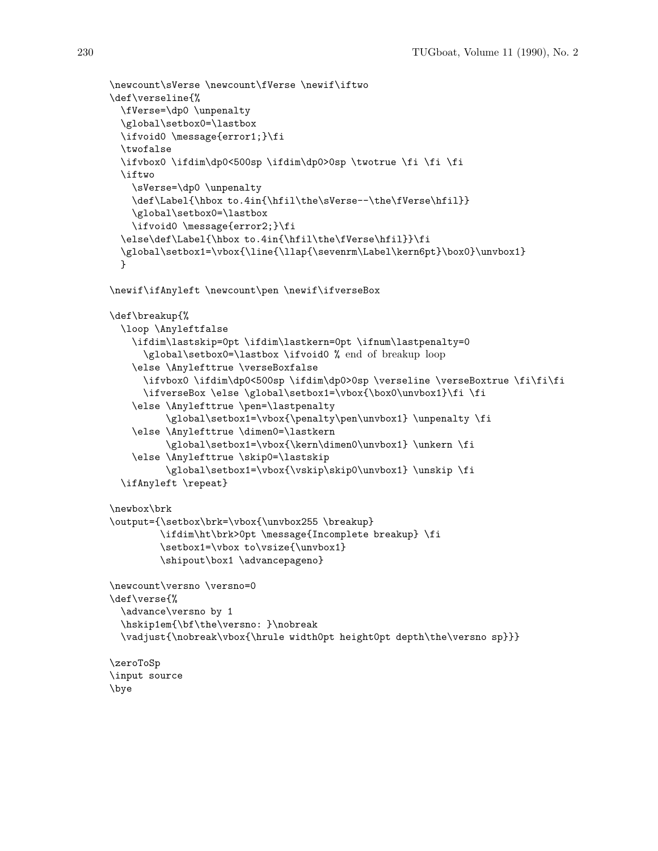```
\newcount\sVerse \newcount\fVerse \newif\iftwo
\def\verseline{%
  \fVerse=\dp0 \unpenalty
  \global\setbox0=\lastbox
  \ifvoid0 \message{error1;}\fi
  \twofalse
  \ifvbox0 \ifdim\dp0<500sp \ifdim\dp0>0sp \twotrue \fi \fi \fi
  \iftwo
    \sVerse=\dp0 \unpenalty
    \def\Label{\hbox to.4in{\hfil\the\sVerse--\the\fVerse\hfil}}
    \global\setbox0=\lastbox
    \ifvoid0 \message{error2;}\fi
  \else\def\Label{\hbox to.4in{\hfil\the\fVerse\hfil}}\fi
  \global\setbox1=\vbox{\line{\llap{\sevenrm\Label\kern6pt}\box0}\unvbox1}
  }
\newif\ifAnyleft \newcount\pen \newif\ifverseBox
\def\breakup{%
  \loop \Anyleftfalse
    \ifdim\lastskip=0pt \ifdim\lastkern=0pt \ifnum\lastpenalty=0
      \global\setbox0=\lastbox \ifvoid0 % end of breakup loop
    \else \Anylefttrue \verseBoxfalse
      \ifvbox0 \ifdim\dp0<500sp \ifdim\dp0>0sp \verseline \verseBoxtrue \fi\fi\fi
      \ifverseBox \else \global\setbox1=\vbox{\box0\unvbox1}\fi \fi
    \else \Anylefttrue \pen=\lastpenalty
          \global\setbox1=\vbox{\penalty\pen\unvbox1} \unpenalty \fi
    \else \Anylefttrue \dimen0=\lastkern
          \global\setbox1=\vbox{\kern\dimen0\unvbox1} \unkern \fi
    \else \Anylefttrue \skip0=\lastskip
          \global\setbox1=\vbox{\vskip\skip0\unvbox1} \unskip \fi
  \ifAnyleft \repeat}
\newbox\brk
\output={\setbox\brk=\vbox{\unvbox255 \breakup}
         \ifdim\ht\brk>0pt \message{Incomplete breakup} \fi
         \setbox1=\vbox to\vsize{\unvbox1}
         \shipout\box1 \advancepageno}
\newcount\versno \versno=0
\def\verse{%
  \advance\versno by 1
  \hskip1em{\bf\the\versno: }\nobreak
  \vadjust{\nobreak\vbox{\hrule width0pt height0pt depth\the\versno sp}}}
\zeroToSp
\input source
\bye
```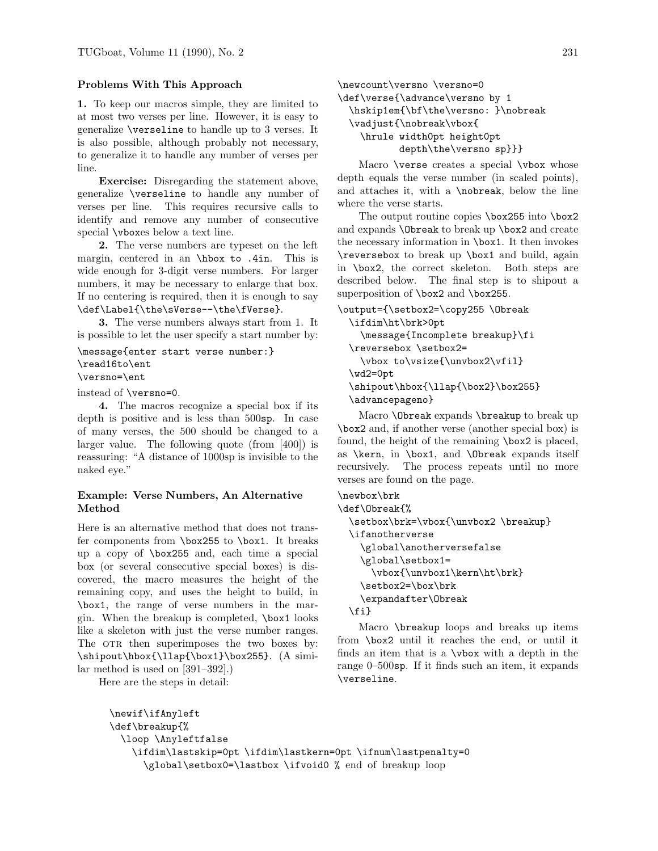## **Problems With This Approach**

**1.** To keep our macros simple, they are limited to at most two verses per line. However, it is easy to generalize \verseline to handle up to 3 verses. It is also possible, although probably not necessary, to generalize it to handle any number of verses per line.

**Exercise:** Disregarding the statement above, generalize \verseline to handle any number of verses per line. This requires recursive calls to identify and remove any number of consecutive special **\vboxes** below a text line.

**2.** The verse numbers are typeset on the left margin, centered in an \hbox to .4in. This is wide enough for 3-digit verse numbers. For larger numbers, it may be necessary to enlarge that box. If no centering is required, then it is enough to say \def\Label{\the\sVerse--\the\fVerse}.

**3.** The verse numbers always start from 1. It is possible to let the user specify a start number by:

\message{enter start verse number:} \read16to\ent \versno=\ent

instead of \versno=0.

**4.** The macros recognize a special box if its depth is positive and is less than  $500$ sp. In case of many verses, the 500 should be changed to a larger value. The following quote (from [400]) is reassuring: "A distance of 1000sp is invisible to the naked eye."

# **Example: Verse Numbers, An Alternative Method**

Here is an alternative method that does not transfer components from  $\boxtimes 255$  to  $\boxtimes 1$ . It breaks up a copy of \box255 and, each time a special box (or several consecutive special boxes) is discovered, the macro measures the height of the remaining copy, and uses the height to build, in \box1, the range of verse numbers in the margin. When the breakup is completed,  $\text{box1 looks}$ like a skeleton with just the verse number ranges. The OTR then superimposes the two boxes by: \shipout\hbox{\llap{\box1}\box255}. (A similar method is used on  $[391-392]$ .

Here are the steps in detail:

```
\newcount\versno \versno=0
\def\verse{\advance\versno by 1
  \hskip1em{\bf\the\versno: }\nobreak
  \vadjust{\nobreak\vbox{
    \hrule width0pt height0pt
          depth\the\versno sp}}}
```
Macro \verse creates a special \vbox whose depth equals the verse number (in scaled points), and attaches it, with a  $\no<sub>break</sub>$ , below the line where the verse starts.

The output routine copies \box255 into \box2 and expands \Obreak to break up \box2 and create the necessary information in \box1. It then invokes \reversebox to break up \box1 and build, again in \box2, the correct skeleton. Both steps are described below. The final step is to shipout a superposition of \box2 and \box255.

```
\output={\setbox2=\copy255 \Obreak
 \ifdim\ht\brk>0pt
    \message{Incomplete breakup}\fi
 \reversebox \setbox2=
   \vbox to\vsize{\unvbox2\vfil}
  \wd2=0pt
  \shipout\hbox{\llap{\box2}\box255}
 \advancepageno}
```
Macro \Obreak expands \breakup to break up \box2 and, if another verse (another special box) is found, the height of the remaining \box2 is placed, as \kern, in \box1, and \Obreak expands itself recursively. The process repeats until no more verses are found on the page.

```
\newbox\brk
```

```
\def\Obreak{%
  \setbox\brk=\vbox{\unvbox2 \breakup}
 \ifanotherverse
    \global\anotherversefalse
    \global\setbox1=
      \vbox{\unvbox1\kern\ht\brk}
   \setbox2=\box\brk
    \expandafter\Obreak
 \fi}
```
Macro \breakup loops and breaks up items from **\box2** until it reaches the end, or until it finds an item that is a  $\forall x$  with a depth in the range  $0-500$ sp. If it finds such an item, it expands \verseline.

```
\newif\ifAnyleft
\def\breakup{%
 \loop \Anyleftfalse
   \ifdim\lastskip=0pt \ifdim\lastkern=0pt \ifnum\lastpenalty=0
     \global\setbox0=\lastbox \ifvoid0 % end of breakup loop
```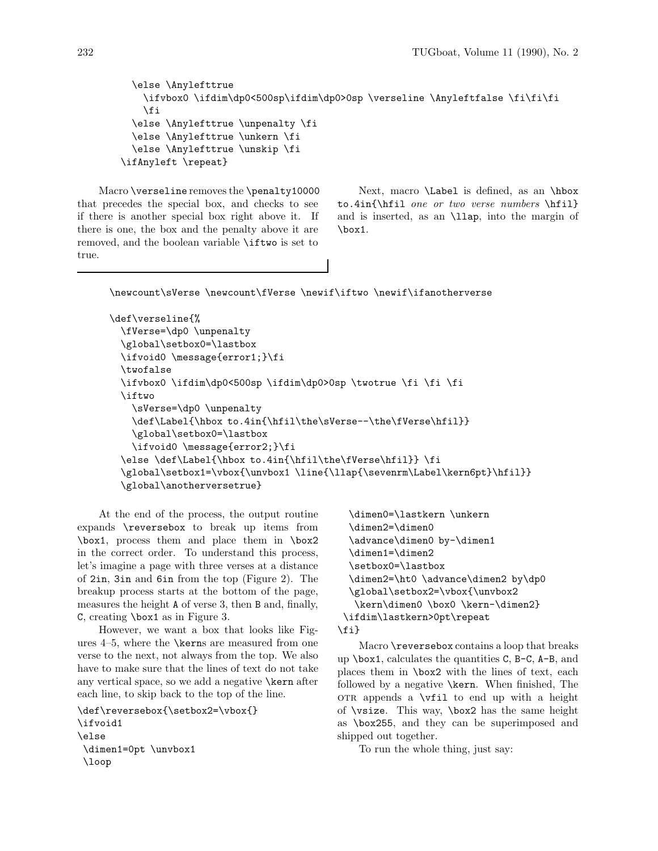```
\else \Anylefttrue
    \ifvbox0 \ifdim\dp0<500sp\ifdim\dp0>0sp \verseline \Anyleftfalse \fi\fi\fi
    \fi
  \else \Anylefttrue \unpenalty \fi
  \else \Anylefttrue \unkern \fi
  \else \Anylefttrue \unskip \fi
\ifAnyleft \repeat}
```
Macro \verseline removes the \penalty10000 that precedes the special box, and checks to see if there is another special box right above it. If there is one, the box and the penalty above it are removed, and the boolean variable \iftwo is set to true.

Next, macro \Label is defined, as an \hbox to.4in{\hfil *one or two verse numbers* \hfil} and is inserted, as an **\llap**, into the margin of \box1.

\newcount\sVerse \newcount\fVerse \newif\iftwo \newif\ifanotherverse

```
\def\verseline{%
  \fVerse=\dp0 \unpenalty
  \global\setbox0=\lastbox
  \ifvoid0 \message{error1;}\fi
  \twofalse
  \ifvbox0 \ifdim\dp0<500sp \ifdim\dp0>0sp \twotrue \fi \fi \fi
  \iftwo
    \sVerse=\dp0 \unpenalty
    \def\Label{\hbox to.4in{\hfil\the\sVerse--\the\fVerse\hfil}}
    \global\setbox0=\lastbox
    \ifvoid0 \message{error2;}\fi
  \else \def\Label{\hbox to.4in{\hfil\the\fVerse\hfil}} \fi
  \global\setbox1=\vbox{\unvbox1 \line{\llap{\sevenrm\Label\kern6pt}\hfil}}
  \global\anotherversetrue}
```
At the end of the process, the output routine expands  $\text{reversebox}$  to break up items from \box1, process them and place them in \box2 in the correct order. To understand this process, let's imagine a page with three verses at a distance of 2in, 3in and 6in from the top (Figure 2). The breakup process starts at the bottom of the page, measures the height A of verse 3, then B and, finally, C, creating \box1 as in Figure 3.

However, we want a box that looks like Figures  $4-5$ , where the **\kerns** are measured from one verse to the next, not always from the top. We also have to make sure that the lines of text do not take any vertical space, so we add a negative \kern after each line, to skip back to the top of the line.

```
\def\reversebox{\setbox2=\vbox{}
\ifvoid1
\else
 \dimen1=0pt \unvbox1
 \loop
```

```
\dimen0=\lastkern \unkern
  \dimen2=\dimen0
 \advance\dimen0 by-\dimen1
 \dimen1=\dimen2
 \setbox0=\lastbox
  \dimen2=\ht0 \advance\dimen2 by\dp0
 \global\setbox2=\vbox{\unvbox2
  \kern\dimen0 \box0 \kern-\dimen2}
\ifdim\lastkern>0pt\repeat
\fi}
```
Macro **\reversebox** contains a loop that breaks up  $\bar{c}$ , calculates the quantities C, B-C, A-B, and places them in  $\boxtimes 2$  with the lines of text, each followed by a negative \kern. When finished, The OTR appends a  $\forall$ fil to end up with a height of \vsize. This way, \box2 hasthe same height as \box255, and they can be superimposed and shipped out together.

To run the whole thing, just say: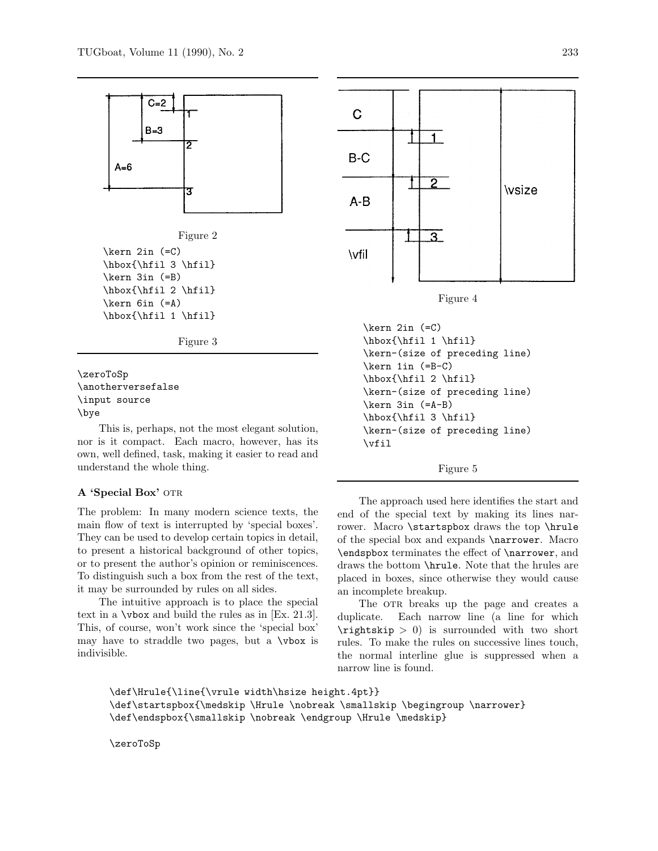

\anotherversefalse \input source \bye

This is, perhaps, not the most elegant solution, nor is it compact. Each macro, however, has its own, well defined, task, making it easier to read and understand the whole thing.

#### A 'Special Box' OTR

The problem: In many modern science texts, the main flow of text is interrupted by 'special boxes'. They can be used to develop certain topics in detail, to present a historical background of other topics, or to present the author's opinion or reminiscences. To distinguish such a box from the rest of the text, it may be surrounded by rules on all sides.

The intuitive approach is to place the special text in a  $\text{vbox}$  and build the rules as in [Ex. 21.3]. This, of course, won't work since the 'special box' may have to straddle two pages, but a  $\forall$ box is indivisible.



\kern 2in (=C) \hbox{\hfil 1 \hfil} \kern-(size of preceding line) \kern 1in (=B-C) \hbox{\hfil 2 \hfil} \kern-(size of preceding line) \kern 3in (=A-B) \hbox{\hfil 3 \hfil} \kern-(size of preceding line) \vfil

#### Figure 5

The approach used here identifies the start and end of the special text by making its lines narrower. Macro \startspbox draws the top \hrule of the special box and expands \narrower. Macro \endspbox terminates the effect of \narrower, and draws the bottom **\hrule**. Note that the hrules are placed in boxes, since otherwise they would cause an incomplete breakup.

The OTR breaks up the page and creates a duplicate. Each narrow line (a line for which \rightskip *>* 0) is surrounded with two short rules. To make the rules on successive lines touch, the normal interline glue is suppressed when a narrow line is found.

```
\def\Hrule{\line{\vrule width\hsize height.4pt}}
\def\startspbox{\medskip \Hrule \nobreak \smallskip \begingroup \narrower}
\def\endspbox{\smallskip \nobreak \endgroup \Hrule \medskip}
```
\zeroToSp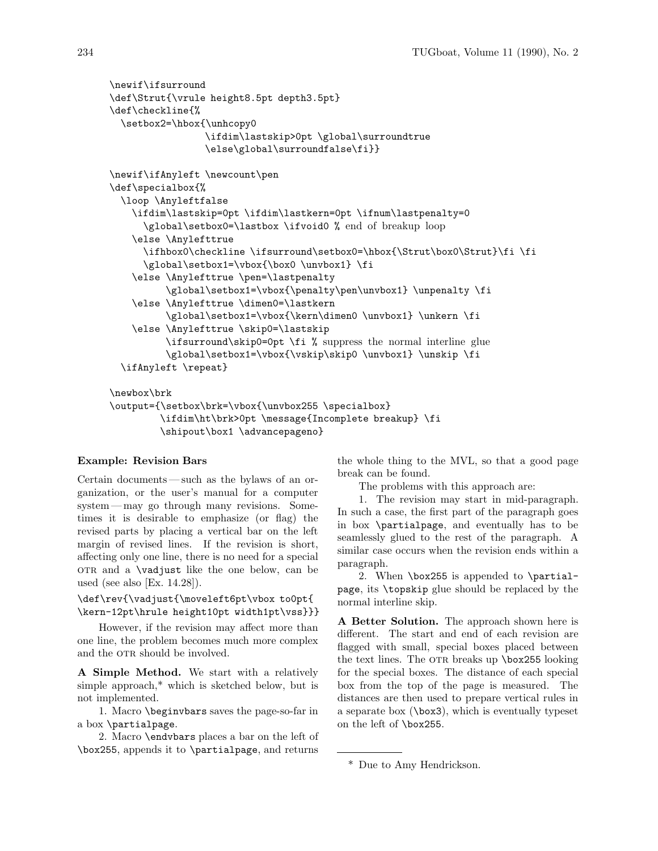```
\newif\ifsurround
\def\Strut{\vrule height8.5pt depth3.5pt}
\def\checkline{%
 \setbox2=\hbox{\unhcopy0
                 \ifdim\lastskip>0pt \global\surroundtrue
                 \else\global\surroundfalse\fi}}
\newif\ifAnyleft \newcount\pen
\def\specialbox{%
 \loop \Anyleftfalse
   \ifdim\lastskip=0pt \ifdim\lastkern=0pt \ifnum\lastpenalty=0
      \global\setbox0=\lastbox \ifvoid0 % end of breakup loop
   \else \Anylefttrue
     \ifhbox0\checkline \ifsurround\setbox0=\hbox{\Strut\box0\Strut}\fi \fi
     \global\setbox1=\vbox{\box0 \unvbox1} \fi
   \else \Anylefttrue \pen=\lastpenalty
          \global\setbox1=\vbox{\penalty\pen\unvbox1} \unpenalty \fi
   \else \Anylefttrue \dimen0=\lastkern
          \global\setbox1=\vbox{\kern\dimen0 \unvbox1} \unkern \fi
   \else \Anylefttrue \skip0=\lastskip
         \ifsurround\skip0=0pt \fi % suppress the normal interline glue
          \global\setbox1=\vbox{\vskip\skip0 \unvbox1} \unskip \fi
 \ifAnyleft \repeat}
\newbox\brk
\output={\setbox\brk=\vbox{\unvbox255 \specialbox}
```
\ifdim\ht\brk>0pt \message{Incomplete breakup} \fi \shipout\box1 \advancepageno}

## **Example: Revision Bars**

Certain documents—such as the bylaws of an organization, or the user's manual for a computer system— may go through many revisions. Sometimes it is desirable to emphasize (or flag) the revised parts by placing a vertical bar on the left margin of revised lines. If the revision is short, affecting only one line, there is no need for a special other and a **\vadjust** like the one below, can be used (see also [Ex. 14.28]).

\def\rev{\vadjust{\moveleft6pt\vbox to0pt{ \kern-12pt\hrule height10pt width1pt\vss}}}

However, if the revision may affect more than one line, the problem becomes much more complex and the OTR should be involved.

**A Simple Method.** We start with a relatively simple approach,\* which is sketched below, but is not implemented.

1. Macro \beginvbars saves the page-so-far in a box \partialpage.

2. Macro \endvbars placesa bar on the left of \box255, appendsit to \partialpage, and returns the whole thing to the MVL, so that a good page break can be found.

The problems with this approach are:

1. The revision may start in mid-paragraph. In such a case, the first part of the paragraph goes in box \partialpage, and eventually has to be seamlessly glued to the rest of the paragraph. A similar case occurs when the revision ends within a paragraph.

2. When \box255 is appended to \partialpage, its \topskip glue should be replaced by the normal interline skip.

**A Better Solution.** The approach shown here is different. The start and end of each revision are flagged with small, special boxes placed between the text lines. The OTR breaks up  $\boxtimes 255$  looking for the special boxes. The distance of each special box from the top of the page is measured. The distances are then used to prepare vertical rules in a separate box  $(\text{box3})$ , which is eventually typeset on the left of \box255.

<sup>\*</sup> Due to Amy Hendrickson.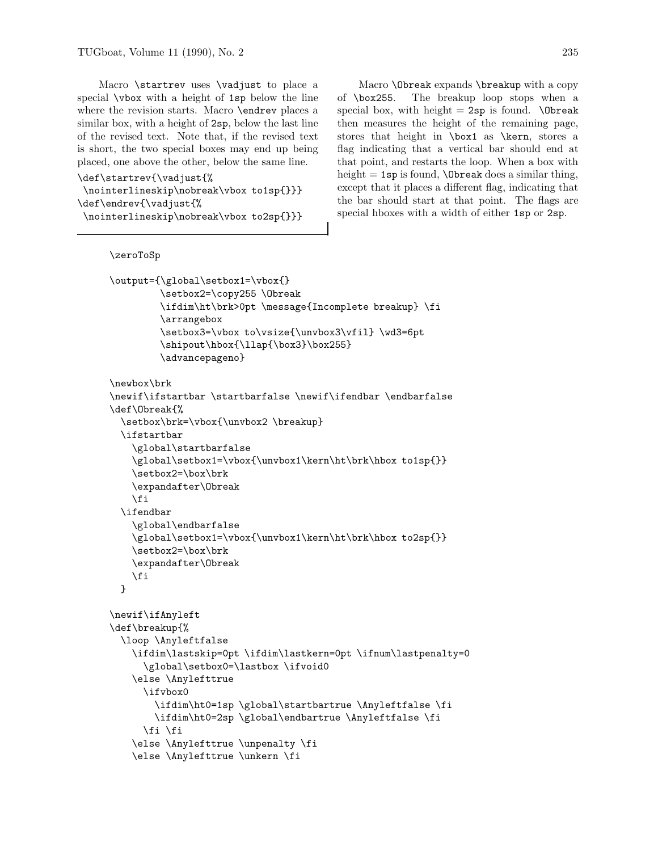Macro \startrev uses \vadjust to place a special \vbox with a height of 1sp below the line where the revision starts. Macro **\endrev** places a similar box, with a height of 2sp, below the last line of the revised text. Note that, if the revised text is short, the two special boxes may end up being placed, one above the other, below the same line.

```
\def\startrev{\vadjust{%
\nointerlineskip\nobreak\vbox to1sp{}}}
\def\endrev{\vadjust{%
 \nointerlineskip\nobreak\vbox to2sp{}}}
```
Macro \Obreak expands \breakup with a copy of \box255. The breakup loop stops when a special box, with height  $= 2$ sp is found. \Obreak then measures the height of the remaining page, stores that height in  $\boxtimes 1$  as  $\ker n$ , stores a flag indicating that a vertical bar should end at that point, and restarts the loop. When a box with height  $= 1$ sp is found,  $\Delta$ break does a similar thing, except that it places a different flag, indicating that the bar should start at that point. The flags are special hboxes with a width of either 1sp or 2sp.

```
\zeroToSp
\output={\global\setbox1=\vbox{}
         \setbox2=\copy255 \Obreak
         \ifdim\ht\brk>0pt \message{Incomplete breakup} \fi
         \arrangebox
         \setbox3=\vbox to\vsize{\unvbox3\vfil} \wd3=6pt
         \shipout\hbox{\llap{\box3}\box255}
         \advancepageno}
\newbox\brk
\newif\ifstartbar \startbarfalse \newif\ifendbar \endbarfalse
\def\Obreak{%
 \setbox\brk=\vbox{\unvbox2 \breakup}
 \ifstartbar
    \global\startbarfalse
   \global\setbox1=\vbox{\unvbox1\kern\ht\brk\hbox to1sp{}}
    \setbox2=\box\brk
   \expandafter\Obreak
   \fi
 \ifendbar
    \global\endbarfalse
    \global\setbox1=\vbox{\unvbox1\kern\ht\brk\hbox to2sp{}}
    \setbox2=\box\brk
   \expandafter\Obreak
   \fi
 }
\newif\ifAnyleft
\def\breakup{%
 \loop \Anyleftfalse
   \ifdim\lastskip=0pt \ifdim\lastkern=0pt \ifnum\lastpenalty=0
      \global\setbox0=\lastbox \ifvoid0
   \else \Anylefttrue
      \ifvbox0
        \ifdim\ht0=1sp \global\startbartrue \Anyleftfalse \fi
        \ifdim\ht0=2sp \global\endbartrue \Anyleftfalse \fi
      \fi \fi
    \else \Anylefttrue \unpenalty \fi
   \else \Anylefttrue \unkern \fi
```